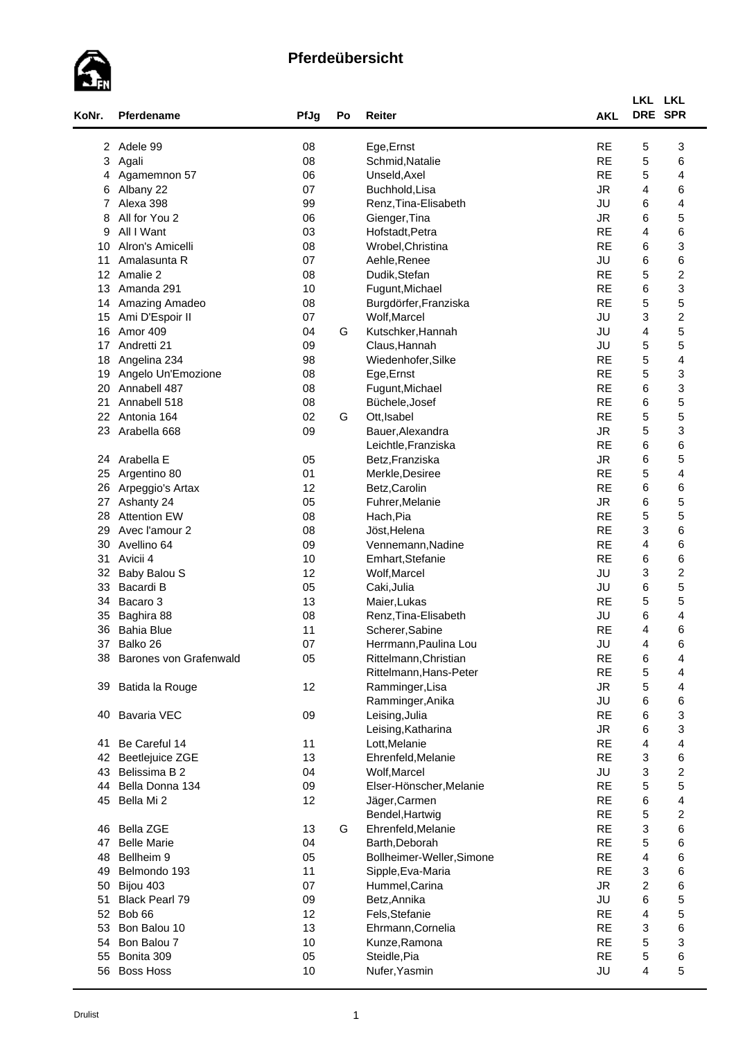

| KoNr.           | Pferdename             | PfJg | Po | Reiter                    | <b>AKL</b> | LKL LKL<br>DRE SPR        |                         |  |
|-----------------|------------------------|------|----|---------------------------|------------|---------------------------|-------------------------|--|
| 2               | Adele 99               | 08   |    | Ege, Ernst                | <b>RE</b>  | 5                         | 3                       |  |
| 3               | Agali                  | 08   |    | Schmid, Natalie           | <b>RE</b>  | 5                         | 6                       |  |
| 4               | Agamemnon 57           | 06   |    | Unseld, Axel              | <b>RE</b>  | 5                         | 4                       |  |
| 6               | Albany 22              | 07   |    | Buchhold, Lisa            | <b>JR</b>  | 4                         | 6                       |  |
| 7               | Alexa 398              | 99   |    | Renz, Tina-Elisabeth      | JU         | 6                         | 4                       |  |
| 8               | All for You 2          | 06   |    | Gienger, Tina             | <b>JR</b>  | 6                         | 5                       |  |
| 9               | All I Want             | 03   |    | Hofstadt, Petra           | <b>RE</b>  | 4                         | 6                       |  |
| 10              | Alron's Amicelli       | 08   |    | Wrobel, Christina         | <b>RE</b>  | 6                         | 3                       |  |
| 11              | Amalasunta R           | 07   |    | Aehle, Renee              | JU         | 6                         | 6                       |  |
| 12 <sup>2</sup> | Amalie 2               | 08   |    | Dudik, Stefan             | <b>RE</b>  | 5                         | $\boldsymbol{2}$        |  |
| 13              | Amanda 291             | 10   |    | Fugunt, Michael           | <b>RE</b>  | 6                         | 3                       |  |
| 14              | Amazing Amadeo         | 08   |    | Burgdörfer, Franziska     | <b>RE</b>  | 5                         | 5                       |  |
| 15              | Ami D'Espoir II        | 07   |    | Wolf, Marcel              | JU         | 3                         | $\boldsymbol{2}$        |  |
| 16              | Amor 409               | 04   | G  | Kutschker, Hannah         | JU         | 4                         | 5                       |  |
| 17              | Andretti 21            | 09   |    | Claus, Hannah             | JU         | 5                         | 5                       |  |
| 18              | Angelina 234           | 98   |    | Wiedenhofer, Silke        | <b>RE</b>  | 5                         | 4                       |  |
| 19              | Angelo Un'Emozione     | 08   |    | Ege, Ernst                | <b>RE</b>  | 5                         | 3                       |  |
| 20              | Annabell 487           | 08   |    | Fugunt, Michael           | <b>RE</b>  | 6                         | 3                       |  |
| 21              | Annabell 518           | 08   |    | Büchele, Josef            | <b>RE</b>  | 6                         | 5                       |  |
| 22              | Antonia 164            | 02   | G  |                           | <b>RE</b>  | 5                         | 5                       |  |
|                 |                        |      |    | Ott, Isabel               | <b>JR</b>  |                           | 3                       |  |
| 23              | Arabella 668           | 09   |    | Bauer, Alexandra          | <b>RE</b>  | 5<br>6                    | 6                       |  |
|                 |                        |      |    | Leichtle, Franziska       | <b>JR</b>  |                           |                         |  |
| 24              | Arabella E             | 05   |    | Betz, Franziska           |            | 6                         | 5                       |  |
| 25              | Argentino 80           | 01   |    | Merkle, Desiree           | <b>RE</b>  | 5                         | 4                       |  |
| 26              | Arpeggio's Artax       | 12   |    | Betz, Carolin             | <b>RE</b>  | 6                         | 6                       |  |
| 27              | Ashanty 24             | 05   |    | Fuhrer, Melanie           | <b>JR</b>  | 6                         | 5                       |  |
| 28              | <b>Attention EW</b>    | 08   |    | Hach, Pia                 | <b>RE</b>  | 5                         | 5                       |  |
| 29              | Avec l'amour 2         | 08   |    | Jöst, Helena              | <b>RE</b>  | 3                         | 6                       |  |
| 30              | Avellino 64            | 09   |    | Vennemann, Nadine         | <b>RE</b>  | 4                         | 6                       |  |
| 31              | Avicii 4               | 10   |    | Emhart, Stefanie          | <b>RE</b>  | 6                         | 6                       |  |
| 32              | Baby Balou S           | 12   |    | Wolf, Marcel              | JU         | 3                         | $\overline{\mathbf{c}}$ |  |
| 33              | Bacardi B              | 05   |    | Caki, Julia               | JU         | 6                         | 5                       |  |
| 34              | Bacaro 3               | 13   |    | Maier, Lukas              | <b>RE</b>  | 5                         | 5                       |  |
| 35              | Baghira 88             | 08   |    | Renz, Tina-Elisabeth      | JU         | 6                         | 4                       |  |
| 36              | <b>Bahia Blue</b>      | 11   |    | Scherer, Sabine           | <b>RE</b>  | 4                         | 6                       |  |
| 37              | Balko 26               | 07   |    | Herrmann, Paulina Lou     | JU         | 4                         | 6                       |  |
| 38              | Barones von Grafenwald | 05   |    | Rittelmann, Christian     | <b>RE</b>  | 6                         | 4                       |  |
|                 |                        |      |    | Rittelmann, Hans-Peter    | <b>RE</b>  | $\mathbf 5$               | 4                       |  |
| 39              | Batida la Rouge        | 12   |    | Ramminger, Lisa           | <b>JR</b>  | 5                         | 4                       |  |
|                 |                        |      |    | Ramminger, Anika          | JU         | 6                         | 6                       |  |
| 40              | <b>Bavaria VEC</b>     | 09   |    | Leising, Julia            | <b>RE</b>  | 6                         | 3                       |  |
|                 |                        |      |    | Leising, Katharina        | <b>JR</b>  | 6                         | 3                       |  |
| 41              | Be Careful 14          | 11   |    | Lott, Melanie             | <b>RE</b>  | 4                         | 4                       |  |
| 42              | <b>Beetlejuice ZGE</b> | 13   |    | Ehrenfeld, Melanie        | <b>RE</b>  | 3                         | 6                       |  |
| 43              | Belissima B 2          | 04   |    | Wolf, Marcel              | JU         | 3                         | $\overline{c}$          |  |
| 44              | Bella Donna 134        | 09   |    | Elser-Hönscher, Melanie   | <b>RE</b>  | 5                         | 5                       |  |
| 45              | Bella Mi 2             | 12   |    | Jäger, Carmen             | <b>RE</b>  | 6                         | $\overline{\mathbf{4}}$ |  |
|                 |                        |      |    | Bendel, Hartwig           | <b>RE</b>  | 5                         | $\boldsymbol{2}$        |  |
| 46              | <b>Bella ZGE</b>       | 13   | G  | Ehrenfeld, Melanie        | <b>RE</b>  | $\ensuremath{\mathsf{3}}$ | 6                       |  |
| 47              | <b>Belle Marie</b>     | 04   |    | Barth, Deborah            | <b>RE</b>  | 5                         | 6                       |  |
| 48              | Bellheim 9             | 05   |    | Bollheimer-Weller, Simone | <b>RE</b>  | 4                         | 6                       |  |
| 49              | Belmondo 193           | 11   |    | Sipple, Eva-Maria         | <b>RE</b>  | 3                         | 6                       |  |
| 50              | Bijou 403              | 07   |    | Hummel, Carina            | <b>JR</b>  | $\overline{c}$            | 6                       |  |
| 51              | <b>Black Pearl 79</b>  | 09   |    | Betz, Annika              | JU         | 6                         | 5                       |  |
| 52              | Bob 66                 | 12   |    | Fels, Stefanie            | <b>RE</b>  | 4                         | 5                       |  |
| 53              | Bon Balou 10           | 13   |    | Ehrmann, Cornelia         | <b>RE</b>  | 3                         | 6                       |  |
| 54              | Bon Balou 7            | 10   |    | Kunze, Ramona             | <b>RE</b>  | 5                         | 3                       |  |
|                 |                        |      |    |                           | <b>RE</b>  | 5                         | 6                       |  |
| 55              | Bonita 309             | 05   |    | Steidle, Pia              |            |                           |                         |  |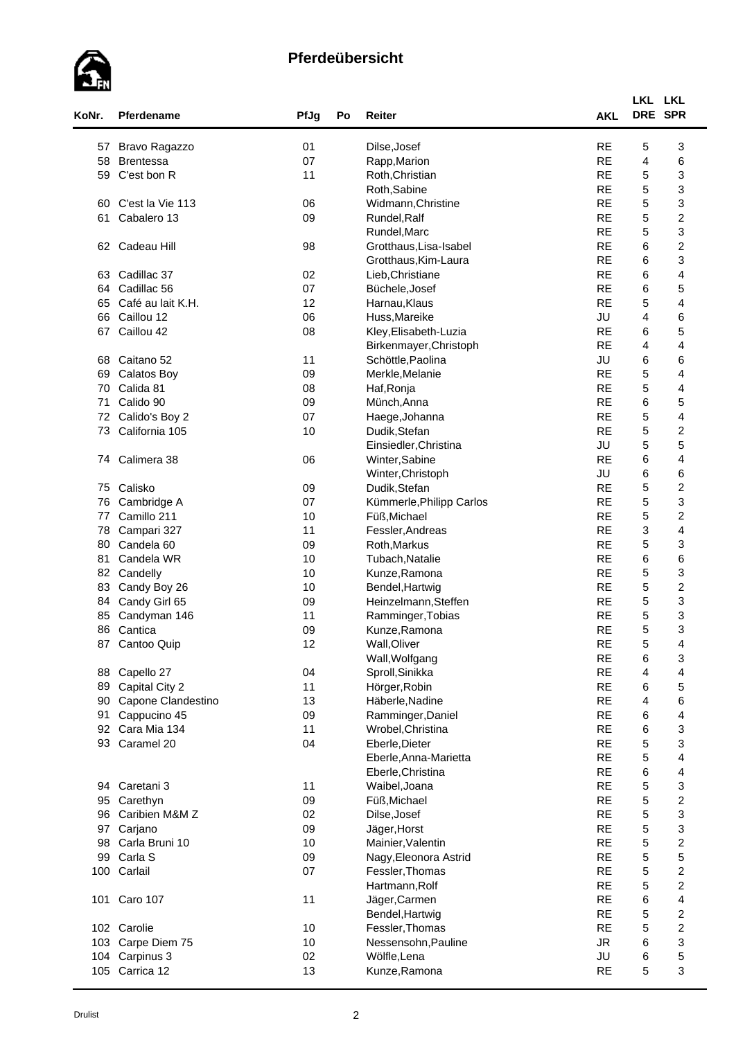

| KoNr. | Pferdename            | PfJg | Po | <b>Reiter</b>            | <b>AKL</b> | LKL LKL     | DRE SPR                 |
|-------|-----------------------|------|----|--------------------------|------------|-------------|-------------------------|
|       |                       |      |    |                          |            |             |                         |
| 57    | Bravo Ragazzo         | 01   |    | Dilse, Josef             | <b>RE</b>  | 5           | 3                       |
| 58    | <b>Brentessa</b>      | 07   |    | Rapp, Marion             | <b>RE</b>  | 4           | 6                       |
| 59    | C'est bon R           | 11   |    | Roth, Christian          | <b>RE</b>  | 5           | 3                       |
|       |                       |      |    | Roth, Sabine             | <b>RE</b>  | 5           | 3                       |
| 60    | C'est la Vie 113      | 06   |    | Widmann, Christine       | <b>RE</b>  | 5           | 3                       |
| 61    | Cabalero 13           | 09   |    | Rundel, Ralf             | <b>RE</b>  | 5           | $\boldsymbol{2}$        |
|       |                       |      |    | Rundel, Marc             | <b>RE</b>  | 5           | 3                       |
| 62    | Cadeau Hill           | 98   |    | Grotthaus, Lisa-Isabel   | <b>RE</b>  | 6           | $\boldsymbol{2}$        |
|       |                       |      |    | Grotthaus, Kim-Laura     | <b>RE</b>  | 6           | 3                       |
| 63    | Cadillac 37           | 02   |    | Lieb, Christiane         | <b>RE</b>  | 6           | 4                       |
| 64    | Cadillac 56           | 07   |    | Büchele, Josef           | <b>RE</b>  | 6           | 5                       |
| 65    | Café au lait K.H.     | 12   |    | Harnau, Klaus            | <b>RE</b>  | $\mathbf 5$ | 4                       |
| 66    | Caillou 12            | 06   |    | Huss, Mareike            | JU         | 4           | 6                       |
| 67    | Caillou 42            | 08   |    | Kley, Elisabeth-Luzia    | <b>RE</b>  | 6           | 5                       |
|       |                       |      |    | Birkenmayer, Christoph   | <b>RE</b>  | 4           | 4                       |
| 68    | Caitano 52            | 11   |    | Schöttle, Paolina        | JU         | 6           | 6                       |
| 69    | <b>Calatos Boy</b>    | 09   |    | Merkle, Melanie          | <b>RE</b>  | 5           | 4                       |
| 70    | Calida 81             | 08   |    | Haf, Ronja               | <b>RE</b>  | 5           | 4                       |
| 71    | Calido 90             | 09   |    | Münch, Anna              | <b>RE</b>  | 6           | 5                       |
| 72    | Calido's Boy 2        | 07   |    | Haege, Johanna           | <b>RE</b>  | 5           | $\overline{\mathbf{4}}$ |
| 73    | California 105        | 10   |    | Dudik, Stefan            | <b>RE</b>  | 5           | $\boldsymbol{2}$        |
|       |                       |      |    | Einsiedler, Christina    | JU         | 5           | 5                       |
| 74.   | Calimera 38           | 06   |    | Winter, Sabine           | <b>RE</b>  | 6           | 4                       |
|       |                       |      |    | Winter, Christoph        | JU         | 6           | 6                       |
| 75    | Calisko               | 09   |    | Dudik, Stefan            | <b>RE</b>  | 5           | $\boldsymbol{2}$        |
| 76    | Cambridge A           | 07   |    | Kümmerle, Philipp Carlos | <b>RE</b>  | 5           | 3                       |
| 77    | Camillo 211           | 10   |    | Füß, Michael             | <b>RE</b>  | 5           | $\overline{\mathbf{c}}$ |
| 78    | Campari 327           | 11   |    | Fessler, Andreas         | <b>RE</b>  | 3           | 4                       |
| 80    | Candela <sub>60</sub> | 09   |    | Roth, Markus             | <b>RE</b>  | 5           | 3                       |
| 81    | Candela WR            | 10   |    | Tubach, Natalie          | <b>RE</b>  | 6           | 6                       |
| 82    | Candelly              | 10   |    | Kunze, Ramona            | <b>RE</b>  | 5           | 3                       |
| 83    | Candy Boy 26          | 10   |    | Bendel, Hartwig          | <b>RE</b>  | 5           | $\boldsymbol{2}$        |
| 84    | Candy Girl 65         | 09   |    | Heinzelmann, Steffen     | <b>RE</b>  | 5           | 3                       |
| 85    | Candyman 146          | 11   |    | Ramminger, Tobias        | <b>RE</b>  | $\mathbf 5$ | 3                       |
| 86    | Cantica               | 09   |    | Kunze, Ramona            | <b>RE</b>  | 5           | 3                       |
|       | 87 Cantoo Quip        | 12   |    | Wall, Oliver             | $\sf RE$   | $\mathbf 5$ | 4                       |
|       |                       |      |    | Wall, Wolfgang           | <b>RE</b>  | 6           | 3                       |
| 88    | Capello 27            | 04   |    | Sproll, Sinikka          | <b>RE</b>  | 4           | 4                       |
| 89    | Capital City 2        | 11   |    | Hörger, Robin            | <b>RE</b>  | 6           | 5                       |
| 90    | Capone Clandestino    | 13   |    | Häberle, Nadine          | <b>RE</b>  | 4           | 6                       |
| 91    | Cappucino 45          | 09   |    | Ramminger, Daniel        | <b>RE</b>  | 6           | 4                       |
| 92    | Cara Mia 134          | 11   |    | Wrobel, Christina        | <b>RE</b>  | 6           | 3                       |
| 93    | Caramel 20            | 04   |    | Eberle, Dieter           | <b>RE</b>  | 5           | 3                       |
|       |                       |      |    | Eberle, Anna-Marietta    | <b>RE</b>  | 5           | $\overline{\mathbf{4}}$ |
|       |                       |      |    | Eberle, Christina        | <b>RE</b>  | 6           | $\overline{\mathbf{4}}$ |
|       | 94 Caretani 3         | 11   |    | Waibel, Joana            | <b>RE</b>  | $\mathbf 5$ | 3                       |
| 95    | Carethyn              | 09   |    | Füß, Michael             | <b>RE</b>  | $\mathbf 5$ | $\overline{\mathbf{c}}$ |
| 96    | Caribien M&M Z        | 02   |    | Dilse, Josef             | <b>RE</b>  | $\mathbf 5$ | 3                       |
| 97    | Carjano               | 09   |    | Jäger, Horst             | <b>RE</b>  | 5           | 3                       |
| 98    | Carla Bruni 10        | 10   |    | Mainier, Valentin        | <b>RE</b>  | 5           | $\overline{\mathbf{c}}$ |
| 99    | Carla S               | 09   |    | Nagy, Eleonora Astrid    | <b>RE</b>  | 5           | 5                       |
| 100   | Carlail               | 07   |    | Fessler, Thomas          | <b>RE</b>  | 5           | $\boldsymbol{2}$        |
|       |                       |      |    | Hartmann, Rolf           | <b>RE</b>  | 5           | $\overline{c}$          |
|       | 101 Caro 107          | 11   |    | Jäger, Carmen            | <b>RE</b>  | 6           | 4                       |
|       |                       |      |    | Bendel, Hartwig          | <b>RE</b>  | 5           | $\overline{\mathbf{c}}$ |
|       | 102 Carolie           | 10   |    | Fessler, Thomas          | <b>RE</b>  | 5           | $\overline{c}$          |
|       | 103 Carpe Diem 75     | 10   |    | Nessensohn, Pauline      | ${\sf JR}$ | 6           | 3                       |
|       | 104 Carpinus 3        | 02   |    | Wölfle, Lena             | JU         | 6           | 5                       |
|       | 105 Carrica 12        | 13   |    | Kunze, Ramona            | <b>RE</b>  | 5           | 3                       |
|       |                       |      |    |                          |            |             |                         |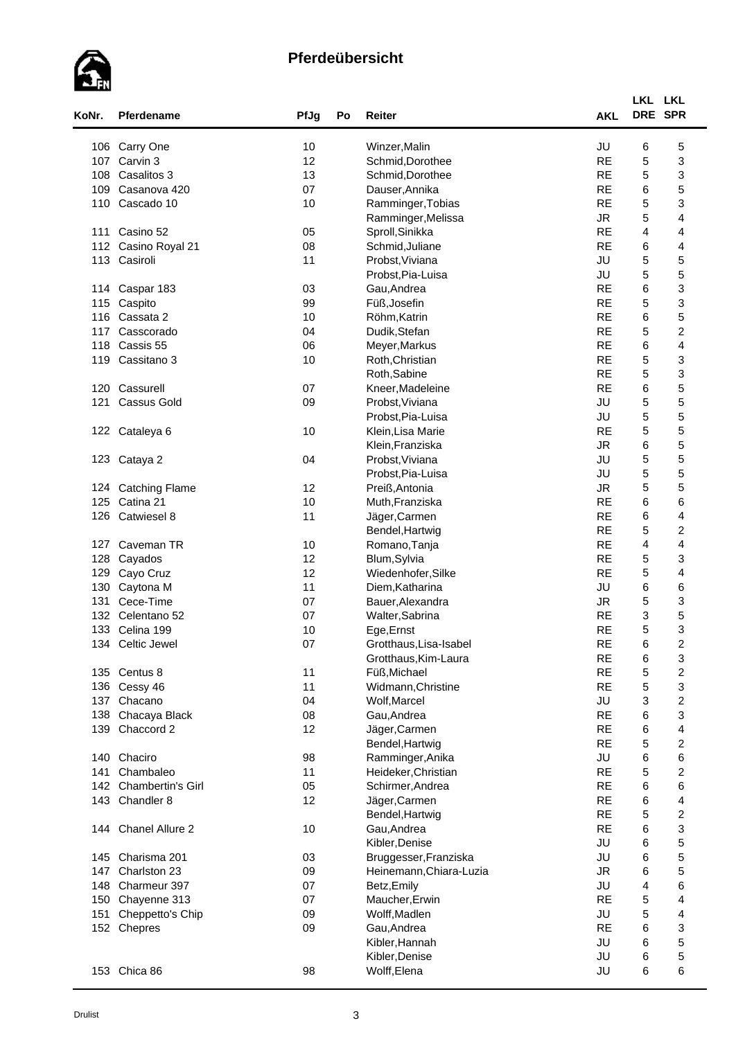

| KoNr. | Pferdename               | PfJg | Po | Reiter                  | <b>AKL</b> | LKL LKL<br>DRE SPR        |                         |
|-------|--------------------------|------|----|-------------------------|------------|---------------------------|-------------------------|
| 106   | Carry One                | 10   |    | Winzer, Malin           | JU         | 6                         | 5                       |
| 107   | Carvin 3                 | 12   |    | Schmid, Dorothee        | <b>RE</b>  | $\mathbf 5$               | 3                       |
| 108   | Casalitos 3              | 13   |    | Schmid, Dorothee        | <b>RE</b>  | $\mathbf 5$               | 3                       |
| 109   | Casanova 420             | 07   |    | Dauser, Annika          | <b>RE</b>  | 6                         | 5                       |
| 110   | Cascado 10               | 10   |    | Ramminger, Tobias       | <b>RE</b>  | 5                         | 3                       |
|       |                          |      |    | Ramminger, Melissa      | <b>JR</b>  | $\mathbf 5$               | 4                       |
|       |                          |      |    |                         |            |                           |                         |
| 111   | Casino 52                | 05   |    | Sproll, Sinikka         | <b>RE</b>  | 4                         | 4                       |
| 112   | Casino Royal 21          | 08   |    | Schmid, Juliane         | <b>RE</b>  | 6                         | 4                       |
|       | 113 Casiroli             | 11   |    | Probst, Viviana         | JU         | $\mathbf 5$               | 5                       |
|       |                          |      |    | Probst, Pia-Luisa       | JU         | 5                         | 5                       |
| 114   | Caspar 183               | 03   |    | Gau, Andrea             | <b>RE</b>  | 6                         | 3                       |
| 115   | Caspito                  | 99   |    | Füß, Josefin            | <b>RE</b>  | 5                         | 3                       |
| 116   | Cassata 2                | 10   |    | Röhm, Katrin            | <b>RE</b>  | 6                         | 5                       |
| 117   | Casscorado               | 04   |    | Dudik, Stefan           | <b>RE</b>  | 5                         | $\boldsymbol{2}$        |
| 118   | Cassis 55                | 06   |    | Meyer, Markus           | <b>RE</b>  | 6                         | 4                       |
| 119   | Cassitano 3              | 10   |    | Roth, Christian         | <b>RE</b>  | 5                         | 3                       |
|       |                          |      |    | Roth, Sabine            | <b>RE</b>  | 5                         | 3                       |
| 120   | Cassurell                | 07   |    | Kneer, Madeleine        | <b>RE</b>  | 6                         | 5                       |
| 121   | <b>Cassus Gold</b>       | 09   |    | Probst, Viviana         | JU         | 5                         | 5                       |
|       |                          |      |    | Probst, Pia-Luisa       | JU         | 5                         | 5                       |
| 122   | Cataleya 6               | 10   |    | Klein, Lisa Marie       | <b>RE</b>  | 5                         | 5                       |
|       |                          |      |    | Klein, Franziska        | <b>JR</b>  | 6                         | 5                       |
|       |                          | 04   |    |                         | JU         | 5                         | 5                       |
|       | 123 Cataya 2             |      |    | Probst, Viviana         |            |                           |                         |
|       |                          |      |    | Probst, Pia-Luisa       | JU         | $\mathbf 5$               | 5                       |
|       | 124 Catching Flame       | 12   |    | Preiß, Antonia          | <b>JR</b>  | $\mathbf 5$               | 5                       |
| 125   | Catina 21                | 10   |    | Muth, Franziska         | <b>RE</b>  | 6                         | 6                       |
| 126   | Catwiesel 8              | 11   |    | Jäger, Carmen           | <b>RE</b>  | 6                         | 4                       |
|       |                          |      |    | Bendel, Hartwig         | <b>RE</b>  | 5                         | $\overline{\mathbf{c}}$ |
| 127   | Caveman TR               | 10   |    | Romano, Tanja           | <b>RE</b>  | 4                         | 4                       |
| 128   | Cayados                  | 12   |    | Blum, Sylvia            | <b>RE</b>  | 5                         | 3                       |
| 129   | Cayo Cruz                | 12   |    | Wiedenhofer, Silke      | <b>RE</b>  | 5                         | 4                       |
| 130   | Caytona M                | 11   |    | Diem, Katharina         | JU         | 6                         | 6                       |
| 131   | Cece-Time                | 07   |    | Bauer, Alexandra        | <b>JR</b>  | 5                         | 3                       |
| 132   | Celentano 52             | 07   |    | Walter, Sabrina         | <b>RE</b>  | $\ensuremath{\mathsf{3}}$ | 5                       |
| 133   | Celina 199               | 10   |    | Ege, Ernst              | <b>RE</b>  | 5                         | 3                       |
| 134   | Celtic Jewel             | 07   |    | Grotthaus, Lisa-Isabel  | <b>RE</b>  | 6                         | $\overline{2}$          |
|       |                          |      |    | Grotthaus, Kim-Laura    | <b>RE</b>  | 6                         | 3                       |
| 135   | Centus 8                 | 11   |    | Füß, Michael            | <b>RE</b>  | $\mathbf 5$               | $\boldsymbol{2}$        |
|       | 136 Cessy 46             | 11   |    | Widmann, Christine      | <b>RE</b>  | $\mathbf 5$               | 3                       |
| 137   | Chacano                  | 04   |    | Wolf, Marcel            | JU         | $\ensuremath{\mathsf{3}}$ | $\boldsymbol{2}$        |
| 138   | Chacaya Black            | 08   |    | Gau, Andrea             | <b>RE</b>  | 6                         | 3                       |
| 139   | Chaccord 2               | 12   |    | Jäger, Carmen           | <b>RE</b>  | 6                         | 4                       |
|       |                          |      |    | Bendel, Hartwig         | <b>RE</b>  | 5                         | $\boldsymbol{2}$        |
|       | 140 Chaciro              | 98   |    | Ramminger, Anika        | JU         | 6                         | 6                       |
| 141   | Chambaleo                | 11   |    | Heideker, Christian     | <b>RE</b>  | $\mathbf 5$               | $\overline{c}$          |
| 142   | <b>Chambertin's Girl</b> | 05   |    | Schirmer, Andrea        | <b>RE</b>  | 6                         | 6                       |
|       | 143 Chandler 8           | 12   |    |                         | <b>RE</b>  | 6                         | $\overline{\mathbf{4}}$ |
|       |                          |      |    | Jäger, Carmen           | <b>RE</b>  |                           |                         |
|       |                          |      |    | Bendel, Hartwig         |            | 5                         | $\boldsymbol{2}$        |
|       | 144 Chanel Allure 2      | 10   |    | Gau, Andrea             | <b>RE</b>  | 6                         | 3                       |
|       |                          |      |    | Kibler, Denise          | JU         | 6                         | 5                       |
|       | 145 Charisma 201         | 03   |    | Bruggesser, Franziska   | JU         | 6                         | 5                       |
| 147   | Charlston 23             | 09   |    | Heinemann, Chiara-Luzia | <b>JR</b>  | 6                         | 5                       |
| 148   | Charmeur 397             | 07   |    | Betz, Emily             | JU         | 4                         | 6                       |
| 150   | Chayenne 313             | 07   |    | Maucher, Erwin          | <b>RE</b>  | $\mathbf 5$               | 4                       |
| 151   | Cheppetto's Chip         | 09   |    | Wolff, Madlen           | JU         | 5                         | 4                       |
|       | 152 Chepres              | 09   |    | Gau, Andrea             | <b>RE</b>  | 6                         | 3                       |
|       |                          |      |    | Kibler, Hannah          | JU         | 6                         | 5                       |
|       |                          |      |    | Kibler, Denise          | JU         | 6                         | 5                       |
|       | 153 Chica 86             | 98   |    | Wolff, Elena            | JU         | 6                         | 6                       |
|       |                          |      |    |                         |            |                           |                         |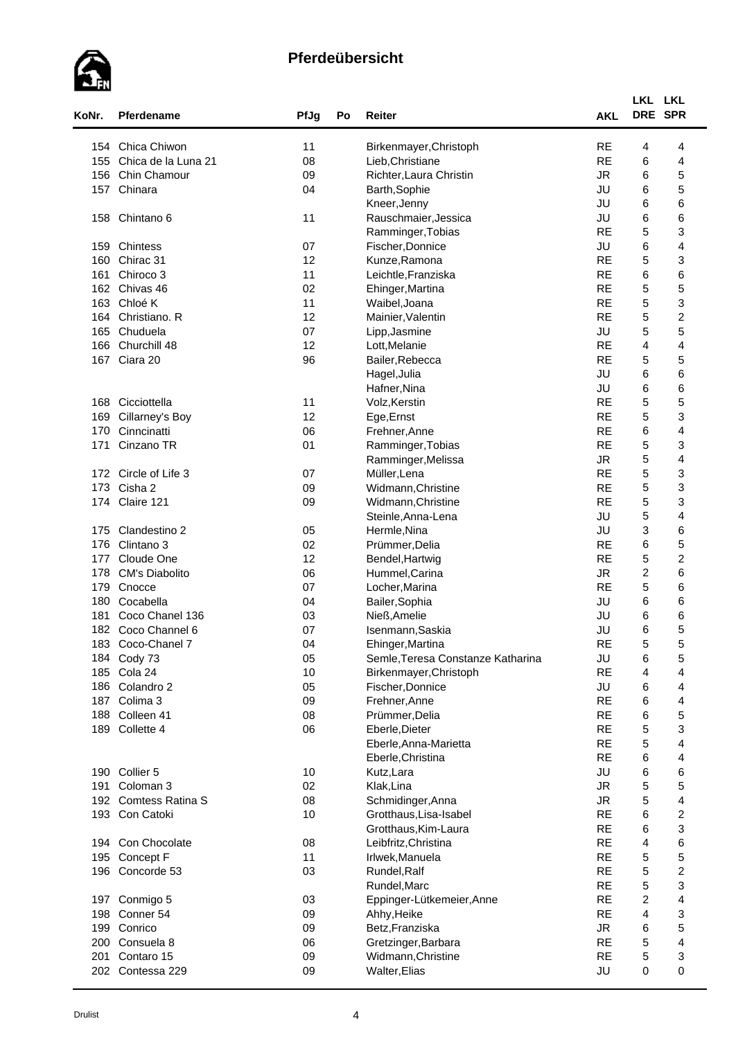

| KoNr. | Pferdename                     | PfJg   | Po | Reiter                            | <b>AKL</b> | LKL LKL<br>DRE SPR |                         |  |
|-------|--------------------------------|--------|----|-----------------------------------|------------|--------------------|-------------------------|--|
| 154   | Chica Chiwon                   | 11     |    | Birkenmayer, Christoph            | <b>RE</b>  | 4                  | 4                       |  |
| 155   | Chica de la Luna 21            | 08     |    | Lieb, Christiane                  | <b>RE</b>  | 6                  | 4                       |  |
| 156   | Chin Chamour                   | 09     |    | Richter, Laura Christin           | <b>JR</b>  | 6                  | 5                       |  |
| 157   | Chinara                        | 04     |    | Barth, Sophie                     | JU         | 6                  | 5                       |  |
|       |                                |        |    | Kneer, Jenny                      | JU         | 6                  | 6                       |  |
| 158   | Chintano 6                     | 11     |    | Rauschmaier, Jessica              | JU         | 6                  | 6                       |  |
|       |                                |        |    |                                   | <b>RE</b>  | 5                  | 3                       |  |
|       |                                |        |    | Ramminger, Tobias                 |            |                    |                         |  |
| 159   | Chintess                       | 07     |    | Fischer, Donnice                  | JU         | 6                  | 4                       |  |
| 160   | Chirac 31                      | 12     |    | Kunze, Ramona                     | <b>RE</b>  | 5                  | 3                       |  |
| 161   | Chiroco 3                      | 11     |    | Leichtle, Franziska               | <b>RE</b>  | 6                  | 6                       |  |
|       | 162 Chivas 46                  | 02     |    | Ehinger, Martina                  | <b>RE</b>  | 5                  | 5                       |  |
| 163   | Chloé K                        | 11     |    | Waibel, Joana                     | <b>RE</b>  | 5                  | 3                       |  |
| 164   | Christiano. R                  | 12     |    | Mainier, Valentin                 | <b>RE</b>  | $\mathbf 5$        | $\boldsymbol{2}$        |  |
| 165   | Chuduela                       | 07     |    | Lipp, Jasmine                     | JU         | 5                  | 5                       |  |
| 166   | Churchill 48                   | 12     |    | Lott, Melanie                     | <b>RE</b>  | 4                  | 4                       |  |
| 167   | Ciara 20                       | 96     |    | Bailer, Rebecca                   | <b>RE</b>  | 5                  | 5                       |  |
|       |                                |        |    | Hagel, Julia                      | JU         | 6                  | 6                       |  |
|       |                                |        |    | Hafner, Nina                      | JU         | 6                  | 6                       |  |
| 168   | Cicciottella                   | 11     |    | Volz, Kerstin                     | <b>RE</b>  | 5                  | 5                       |  |
| 169   | Cillarney's Boy                | 12     |    | Ege, Ernst                        | <b>RE</b>  | 5                  | 3                       |  |
| 170   | Cinncinatti                    | 06     |    | Frehner, Anne                     | <b>RE</b>  | 6                  | $\overline{\mathbf{4}}$ |  |
| 171   | Cinzano TR                     | 01     |    | Ramminger, Tobias                 | <b>RE</b>  | 5                  | 3                       |  |
|       |                                |        |    | Ramminger, Melissa                | <b>JR</b>  | 5                  | $\overline{\mathbf{4}}$ |  |
|       | 172 Circle of Life 3           | 07     |    | Müller, Lena                      | <b>RE</b>  | 5                  | 3                       |  |
| 173   | Cisha 2                        |        |    |                                   | <b>RE</b>  | $\mathbf 5$        | 3                       |  |
|       |                                | 09     |    | Widmann, Christine                | <b>RE</b>  |                    |                         |  |
| 174   | Claire 121                     | 09     |    | Widmann, Christine                |            | 5                  | 3                       |  |
|       |                                |        |    | Steinle, Anna-Lena                | JU         | 5                  | 4                       |  |
| 175   | Clandestino 2                  | 05     |    | Hermle, Nina                      | JU         | 3                  | 6                       |  |
| 176   | Clintano 3                     | 02     |    | Prümmer, Delia                    | <b>RE</b>  | 6                  | 5                       |  |
| 177   | Cloude One                     | 12     |    | Bendel, Hartwig                   | <b>RE</b>  | 5                  | $\overline{\mathbf{c}}$ |  |
| 178   | <b>CM's Diabolito</b>          | 06     |    | Hummel, Carina                    | <b>JR</b>  | $\boldsymbol{2}$   | 6                       |  |
| 179   | Cnocce                         | 07     |    | Locher, Marina                    | <b>RE</b>  | 5                  | 6                       |  |
| 180   | Cocabella                      | 04     |    | Bailer, Sophia                    | JU         | 6                  | 6                       |  |
| 181   | Coco Chanel 136                | 03     |    | Nieß, Amelie                      | JU         | 6                  | 6                       |  |
| 182   | Coco Channel 6                 | 07     |    | Isenmann, Saskia                  | JU         | 6                  | 5                       |  |
| 183   | Coco-Chanel 7                  | 04     |    | Ehinger, Martina                  | <b>RE</b>  | 5                  | 5                       |  |
|       | 184 Cody 73                    | 05     |    | Semle, Teresa Constanze Katharina | JU         | 6                  | 5                       |  |
|       | 185 Cola 24                    | 10     |    | Birkenmayer, Christoph            | <b>RE</b>  | 4                  | 4                       |  |
|       | 186 Colandro 2                 | 05     |    | Fischer, Donnice                  | JU         | 6                  | 4                       |  |
|       | 187 Colima 3                   | 09     |    | Frehner, Anne                     | <b>RE</b>  | 6                  | 4                       |  |
| 188   | Colleen 41                     | 08     |    | Prümmer, Delia                    | <b>RE</b>  | 6                  | 5                       |  |
|       | 189 Collette 4                 | 06     |    | Eberle, Dieter                    | <b>RE</b>  | 5                  | 3                       |  |
|       |                                |        |    | Eberle, Anna-Marietta             | <b>RE</b>  | 5                  | 4                       |  |
|       |                                |        |    | Eberle, Christina                 | <b>RE</b>  | 6                  | $\overline{\mathbf{4}}$ |  |
|       | 190 Collier 5                  | 10     |    | Kutz, Lara                        | JU         | 6                  | 6                       |  |
| 191   | Coloman 3                      | 02     |    | Klak, Lina                        | ${\sf JR}$ | 5                  | 5                       |  |
|       | 192 Comtess Ratina S           | 08     |    | Schmidinger, Anna                 | ${\sf JR}$ | $\mathbf 5$        | $\overline{\mathbf{4}}$ |  |
|       | 193 Con Catoki                 | 10     |    | Grotthaus, Lisa-Isabel            | <b>RE</b>  | 6                  | $\boldsymbol{2}$        |  |
|       |                                |        |    | Grotthaus, Kim-Laura              | <b>RE</b>  | 6                  | 3                       |  |
|       | 194 Con Chocolate              |        |    |                                   | <b>RE</b>  | 4                  |                         |  |
|       |                                | $08\,$ |    | Leibfritz, Christina              |            |                    | 6                       |  |
| 195   | Concept F                      | 11     |    | Irlwek, Manuela                   | <b>RE</b>  | 5                  | 5                       |  |
| 196   | Concorde 53                    | 03     |    | Rundel, Ralf                      | <b>RE</b>  | 5                  | $\overline{\mathbf{c}}$ |  |
|       |                                |        |    | Rundel, Marc                      | <b>RE</b>  | 5                  | 3                       |  |
|       | 197 Conmigo 5                  | 03     |    | Eppinger-Lütkemeier, Anne         | <b>RE</b>  | $\boldsymbol{2}$   | 4                       |  |
| 198   | Conner 54                      | 09     |    | Ahhy, Heike                       | <b>RE</b>  | 4                  | 3                       |  |
|       | 199 Conrico                    | 09     |    | Betz, Franziska                   | <b>JR</b>  | 6                  | 5                       |  |
| 200   | Consuela 8                     | 06     |    | Gretzinger, Barbara               | <b>RE</b>  | 5                  | $\overline{\mathbf{4}}$ |  |
|       |                                | 09     |    | Widmann, Christine                | <b>RE</b>  | $\mathbf 5$        | 3                       |  |
| 201   | Contaro 15<br>202 Contessa 229 |        |    |                                   |            |                    |                         |  |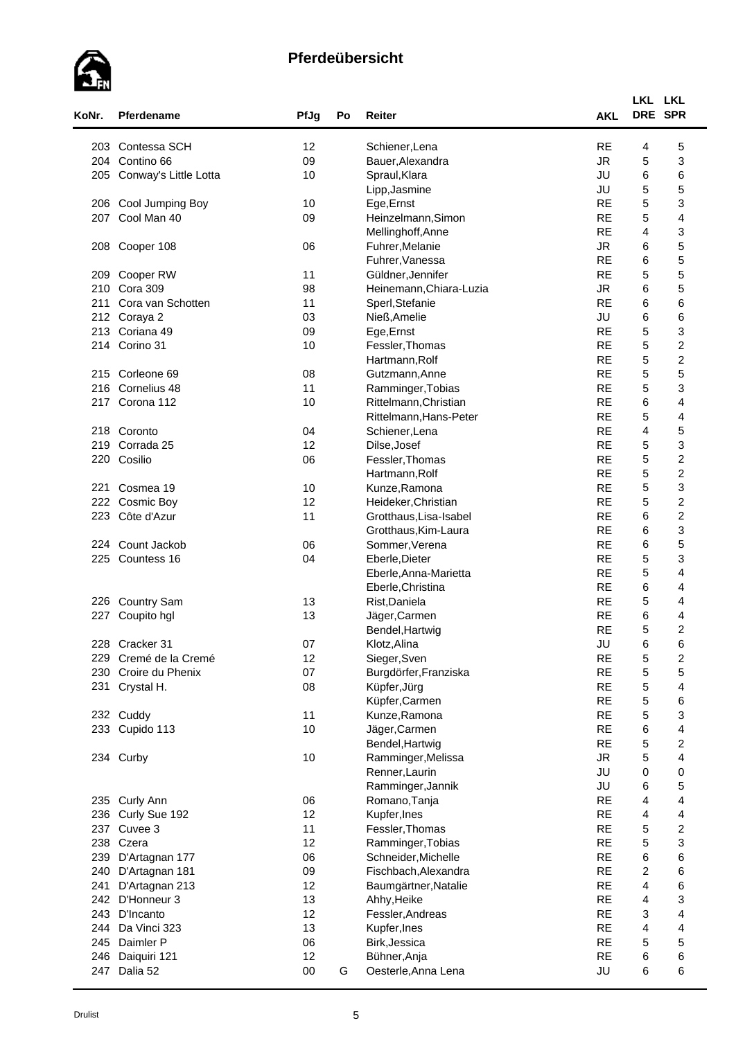

| KoNr. | Pferdename            | PfJg   | Po | Reiter                  | <b>AKL</b> | LKL LKL<br>DRE SPR |                         |  |
|-------|-----------------------|--------|----|-------------------------|------------|--------------------|-------------------------|--|
| 203   | Contessa SCH          | 12     |    | Schiener, Lena          | <b>RE</b>  | 4                  | 5                       |  |
| 204   | Contino 66            | 09     |    | Bauer, Alexandra        | <b>JR</b>  | 5                  | 3                       |  |
| 205   | Conway's Little Lotta | 10     |    | Spraul, Klara           | JU         | 6                  | 6                       |  |
|       |                       |        |    | Lipp, Jasmine           | JU         | 5                  | 5                       |  |
| 206   | Cool Jumping Boy      | 10     |    | Ege, Ernst              | <b>RE</b>  | 5                  | 3                       |  |
| 207   | Cool Man 40           | 09     |    | Heinzelmann, Simon      | <b>RE</b>  | 5                  | 4                       |  |
|       |                       |        |    | Mellinghoff, Anne       | <b>RE</b>  | $\overline{4}$     | 3                       |  |
| 208   | Cooper 108            | 06     |    | Fuhrer, Melanie         | <b>JR</b>  | 6                  | 5                       |  |
|       |                       |        |    | Fuhrer, Vanessa         | <b>RE</b>  | 6                  | 5                       |  |
| 209   | Cooper RW             | 11     |    | Güldner, Jennifer       | <b>RE</b>  | 5                  | 5                       |  |
| 210   | Cora 309              | 98     |    | Heinemann, Chiara-Luzia | <b>JR</b>  | 6                  | 5                       |  |
| 211   | Cora van Schotten     | 11     |    | Sperl, Stefanie         | <b>RE</b>  | 6                  | 6                       |  |
| 212   | Coraya 2              | 03     |    | Nieß, Amelie            | JU         | 6                  | 6                       |  |
|       |                       |        |    |                         | <b>RE</b>  |                    |                         |  |
| 213   | Coriana 49            | 09     |    | Ege, Ernst              | <b>RE</b>  | 5                  | 3                       |  |
| 214   | Corino 31             | 10     |    | Fessler, Thomas         |            | 5                  | $\overline{\mathbf{c}}$ |  |
|       |                       |        |    | Hartmann, Rolf          | <b>RE</b>  | 5                  | $\overline{\mathbf{c}}$ |  |
|       | 215 Corleone 69       | 08     |    | Gutzmann, Anne          | <b>RE</b>  | 5                  | 5                       |  |
| 216   | Cornelius 48          | 11     |    | Ramminger, Tobias       | <b>RE</b>  | 5                  | 3                       |  |
| 217   | Corona 112            | 10     |    | Rittelmann, Christian   | <b>RE</b>  | 6                  | 4                       |  |
|       |                       |        |    | Rittelmann, Hans-Peter  | <b>RE</b>  | 5                  | $\overline{\mathbf{4}}$ |  |
|       | 218 Coronto           | 04     |    | Schiener, Lena          | <b>RE</b>  | 4                  | 5                       |  |
| 219   | Corrada 25            | 12     |    | Dilse, Josef            | <b>RE</b>  | 5                  | 3                       |  |
| 220   | Cosilio               | 06     |    | Fessler, Thomas         | <b>RE</b>  | $\mathbf 5$        | $\boldsymbol{2}$        |  |
|       |                       |        |    | Hartmann, Rolf          | <b>RE</b>  | 5                  | $\boldsymbol{2}$        |  |
| 221   | Cosmea 19             | 10     |    | Kunze, Ramona           | <b>RE</b>  | 5                  | 3                       |  |
| 222   | Cosmic Boy            | 12     |    | Heideker, Christian     | <b>RE</b>  | 5                  | $\overline{\mathbf{c}}$ |  |
| 223   | Côte d'Azur           | 11     |    | Grotthaus, Lisa-Isabel  | <b>RE</b>  | 6                  | $\overline{\mathbf{c}}$ |  |
|       |                       |        |    | Grotthaus, Kim-Laura    | <b>RE</b>  | 6                  | 3                       |  |
| 224   | Count Jackob          | 06     |    | Sommer, Verena          | <b>RE</b>  | 6                  | 5                       |  |
| 225   | Countess 16           | 04     |    | Eberle, Dieter          | <b>RE</b>  | 5                  | 3                       |  |
|       |                       |        |    | Eberle, Anna-Marietta   | <b>RE</b>  | 5                  | $\overline{4}$          |  |
|       |                       |        |    | Eberle, Christina       | <b>RE</b>  | 6                  | 4                       |  |
|       | 226 Country Sam       | 13     |    | Rist, Daniela           | <b>RE</b>  | 5                  | 4                       |  |
| 227   | Coupito hgl           | 13     |    | Jäger, Carmen           | <b>RE</b>  | 6                  | 4                       |  |
|       |                       |        |    | Bendel, Hartwig         | <b>RE</b>  | 5                  | $\overline{\mathbf{c}}$ |  |
|       | 228 Cracker 31        | 07     |    | Klotz, Alina            | JU         | 6                  | 6                       |  |
|       | 229 Cremé de la Cremé | 12     |    | Sieger, Sven            | <b>RE</b>  | 5                  | $\overline{\mathbf{c}}$ |  |
| 230   | Croire du Phenix      | 07     |    | Burgdörfer, Franziska   | <b>RE</b>  | 5                  | 5                       |  |
| 231   | Crystal H.            | 08     |    | Küpfer, Jürg            | <b>RE</b>  | 5                  | 4                       |  |
|       |                       |        |    | Küpfer, Carmen          | <b>RE</b>  | 5                  | 6                       |  |
|       | 232 Cuddy             | 11     |    | Kunze, Ramona           | <b>RE</b>  | 5                  | 3                       |  |
|       | 233 Cupido 113        | 10     |    | Jäger, Carmen           | <b>RE</b>  | 6                  | 4                       |  |
|       |                       |        |    | Bendel, Hartwig         | <b>RE</b>  | 5                  | $\boldsymbol{2}$        |  |
|       | 234 Curby             | 10     |    | Ramminger, Melissa      | <b>JR</b>  | 5                  | $\overline{\mathbf{4}}$ |  |
|       |                       |        |    | Renner, Laurin          | JU         | 0                  | $\pmb{0}$               |  |
|       |                       |        |    | Ramminger, Jannik       | JU         | 6                  | 5                       |  |
|       | 235 Curly Ann         | 06     |    | Romano, Tanja           | <b>RE</b>  | 4                  | 4                       |  |
| 236   | Curly Sue 192         | 12     |    | Kupfer, Ines            | <b>RE</b>  | 4                  | 4                       |  |
| 237   | Cuvee 3               | 11     |    | Fessler, Thomas         | <b>RE</b>  | 5                  | $\overline{\mathbf{c}}$ |  |
| 238   | Czera                 | 12     |    | Ramminger, Tobias       | <b>RE</b>  | 5                  | 3                       |  |
| 239   | D'Artagnan 177        | 06     |    | Schneider, Michelle     | <b>RE</b>  | 6                  | 6                       |  |
| 240   | D'Artagnan 181        | 09     |    | Fischbach, Alexandra    | <b>RE</b>  | $\overline{c}$     | 6                       |  |
| 241   | D'Artagnan 213        | 12     |    | Baumgärtner, Natalie    | <b>RE</b>  | 4                  | 6                       |  |
| 242   | D'Honneur 3           | 13     |    | Ahhy, Heike             | <b>RE</b>  | 4                  | 3                       |  |
| 243   | D'Incanto             | 12     |    | Fessler, Andreas        | <b>RE</b>  | 3                  | $\overline{\mathbf{4}}$ |  |
| 244   | Da Vinci 323          | 13     |    | Kupfer, Ines            | <b>RE</b>  | 4                  | $\overline{\mathbf{4}}$ |  |
|       | 245 Daimler P         | 06     |    | Birk, Jessica           | <b>RE</b>  | 5                  | 5                       |  |
| 246   | Daiquiri 121          | 12     |    | Bühner, Anja            | <b>RE</b>  | 6                  | 6                       |  |
| 247   | Dalia 52              | $00\,$ | G  | Oesterle, Anna Lena     | JU         | 6                  | 6                       |  |
|       |                       |        |    |                         |            |                    |                         |  |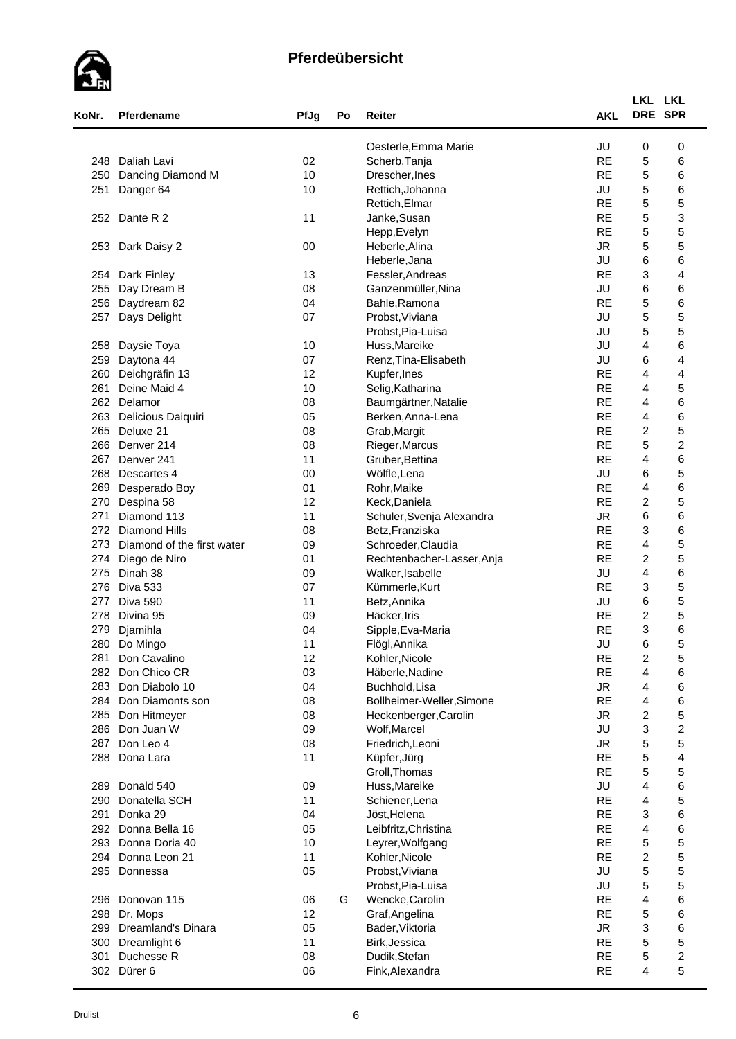# $\epsilon$

| KoNr. | <b>Pferdename</b>          | PfJg | Po | Reiter                                | <b>AKL</b> | LKL LKL<br>DRE SPR        |                         |  |
|-------|----------------------------|------|----|---------------------------------------|------------|---------------------------|-------------------------|--|
|       |                            |      |    | Oesterle, Emma Marie                  | JU         | 0                         | 0                       |  |
| 248   | Daliah Lavi                | 02   |    | Scherb, Tanja                         | <b>RE</b>  | 5                         | 6                       |  |
| 250   | Dancing Diamond M          | 10   |    | Drescher, Ines                        | <b>RE</b>  | 5                         | 6                       |  |
| 251   | Danger 64                  | 10   |    | Rettich, Johanna                      | JU         | $\mathbf 5$               | 6                       |  |
|       |                            |      |    | Rettich, Elmar                        | <b>RE</b>  | 5                         | 5                       |  |
| 252   | Dante R 2                  | 11   |    | Janke, Susan                          | <b>RE</b>  | 5                         | 3                       |  |
|       |                            |      |    | Hepp, Evelyn                          | <b>RE</b>  | 5                         | 5                       |  |
| 253   | Dark Daisy 2               | 00   |    | Heberle, Alina                        | <b>JR</b>  | 5                         | 5                       |  |
|       |                            |      |    | Heberle, Jana                         | JU         | 6                         | 6                       |  |
| 254   | Dark Finley                | 13   |    | Fessler, Andreas                      | <b>RE</b>  | 3                         | 4                       |  |
| 255   | Day Dream B                | 08   |    | Ganzenmüller, Nina                    | JU         | 6                         | 6                       |  |
| 256   | Daydream 82                | 04   |    | Bahle, Ramona                         | <b>RE</b>  | 5                         | 6                       |  |
| 257   | Days Delight               | 07   |    | Probst, Viviana                       | JU         | 5                         | 5                       |  |
|       |                            |      |    | Probst, Pia-Luisa                     | JU         | 5                         | 5                       |  |
| 258   |                            | 10   |    |                                       | JU         | 4                         | 6                       |  |
| 259   | Daysie Toya                | 07   |    | Huss, Mareike<br>Renz, Tina-Elisabeth | JU         | 6                         | 4                       |  |
|       | Daytona 44                 |      |    |                                       | <b>RE</b>  |                           |                         |  |
| 260   | Deichgräfin 13             | 12   |    | Kupfer, Ines                          | <b>RE</b>  | 4                         | 4                       |  |
| 261   | Deine Maid 4               | 10   |    | Selig, Katharina                      |            | 4                         | 5                       |  |
| 262   | Delamor                    | 08   |    | Baumgärtner, Natalie                  | <b>RE</b>  | 4                         | 6                       |  |
| 263   | Delicious Daiquiri         | 05   |    | Berken, Anna-Lena                     | <b>RE</b>  | 4                         | 6                       |  |
| 265   | Deluxe 21                  | 08   |    | Grab, Margit                          | <b>RE</b>  | $\overline{c}$            | 5                       |  |
| 266   | Denver 214                 | 08   |    | Rieger, Marcus                        | <b>RE</b>  | 5                         | $\boldsymbol{2}$        |  |
| 267   | Denver <sub>241</sub>      | 11   |    | Gruber, Bettina                       | <b>RE</b>  | $\overline{4}$            | 6                       |  |
| 268   | Descartes 4                | 00   |    | Wölfle, Lena                          | JU         | 6                         | 5                       |  |
| 269   | Desperado Boy              | 01   |    | Rohr, Maike                           | <b>RE</b>  | 4                         | 6                       |  |
| 270   | Despina 58                 | 12   |    | Keck, Daniela                         | <b>RE</b>  | $\overline{c}$            | 5                       |  |
| 271   | Diamond 113                | 11   |    | Schuler, Svenja Alexandra             | <b>JR</b>  | 6                         | 6                       |  |
| 272   | <b>Diamond Hills</b>       | 08   |    | Betz, Franziska                       | <b>RE</b>  | 3                         | 6                       |  |
| 273   | Diamond of the first water | 09   |    | Schroeder, Claudia                    | <b>RE</b>  | 4                         | 5                       |  |
| 274   | Diego de Niro              | 01   |    | Rechtenbacher-Lasser, Anja            | <b>RE</b>  | $\overline{c}$            | 5                       |  |
| 275   | Dinah 38                   | 09   |    | Walker, Isabelle                      | JU         | $\overline{\mathbf{4}}$   | 6                       |  |
| 276   | <b>Diva 533</b>            | 07   |    | Kümmerle, Kurt                        | <b>RE</b>  | 3                         | 5                       |  |
| 277   | Diva 590                   | 11   |    | Betz, Annika                          | JU         | 6                         | 5                       |  |
| 278   | Divina 95                  | 09   |    | Häcker, Iris                          | <b>RE</b>  | $\overline{c}$            | 5                       |  |
| 279   | Djamihla                   | 04   |    | Sipple, Eva-Maria                     | <b>RE</b>  | 3                         | 6                       |  |
| 280   | Do Mingo                   | 11   |    | Flögl, Annika                         | JU         | 6                         | 5                       |  |
| 281   | Don Cavalino               | 12   |    | Kohler, Nicole                        | <b>RE</b>  | $\overline{\mathbf{c}}$   | 5                       |  |
| 282   | Don Chico CR               | 03   |    | Häberle, Nadine                       | <b>RE</b>  | 4                         | 6                       |  |
| 283   | Don Diabolo 10             | 04   |    | Buchhold, Lisa                        | <b>JR</b>  | 4                         | 6                       |  |
| 284   | Don Diamonts son           | 08   |    | Bollheimer-Weller, Simone             | <b>RE</b>  | 4                         | 6                       |  |
| 285   | Don Hitmeyer               | 08   |    | Heckenberger, Carolin                 | ${\sf JR}$ | $\boldsymbol{2}$          | 5                       |  |
| 286   | Don Juan W                 | 09   |    | Wolf, Marcel                          | JU         | $\ensuremath{\mathsf{3}}$ | $\boldsymbol{2}$        |  |
| 287   | Don Leo 4                  | 08   |    | Friedrich, Leoni                      | <b>JR</b>  | $\mathbf 5$               | 5                       |  |
| 288   | Dona Lara                  | 11   |    | Küpfer, Jürg                          | <b>RE</b>  | $\mathbf 5$               | 4                       |  |
|       |                            |      |    | Groll, Thomas                         | <b>RE</b>  | 5                         | 5                       |  |
| 289   | Donald 540                 | 09   |    | Huss, Mareike                         | JU         | 4                         | 6                       |  |
| 290   | Donatella SCH              | 11   |    | Schiener, Lena                        | <b>RE</b>  | 4                         | 5                       |  |
| 291   | Donka 29                   | 04   |    | Jöst, Helena                          | <b>RE</b>  | 3                         | 6                       |  |
| 292   | Donna Bella 16             | 05   |    | Leibfritz, Christina                  | <b>RE</b>  | $\overline{\mathbf{4}}$   | 6                       |  |
| 293   | Donna Doria 40             | 10   |    | Leyrer, Wolfgang                      | <b>RE</b>  | $\mathbf 5$               | 5                       |  |
| 294   | Donna Leon 21              | 11   |    | Kohler, Nicole                        | <b>RE</b>  | $\boldsymbol{2}$          | 5                       |  |
| 295   | Donnessa                   | 05   |    | Probst, Viviana                       | JU         | $\mathbf 5$               | 5                       |  |
|       |                            |      |    | Probst, Pia-Luisa                     | JU         | 5                         | 5                       |  |
| 296   | Donovan 115                | 06   | G  | Wencke, Carolin                       | <b>RE</b>  | 4                         | 6                       |  |
| 298   | Dr. Mops                   | 12   |    | Graf, Angelina                        | <b>RE</b>  | $\mathbf 5$               | 6                       |  |
| 299   | <b>Dreamland's Dinara</b>  | 05   |    | Bader, Viktoria                       | <b>JR</b>  | 3                         | 6                       |  |
| 300   | Dreamlight 6               | 11   |    | Birk, Jessica                         | <b>RE</b>  | 5                         | 5                       |  |
| 301   | Duchesse R                 | 08   |    | Dudik, Stefan                         | <b>RE</b>  | $\mathbf 5$               | $\overline{\mathbf{c}}$ |  |
|       | 302 Dürer 6                | 06   |    | Fink, Alexandra                       | <b>RE</b>  | 4                         | 5                       |  |
|       |                            |      |    |                                       |            |                           |                         |  |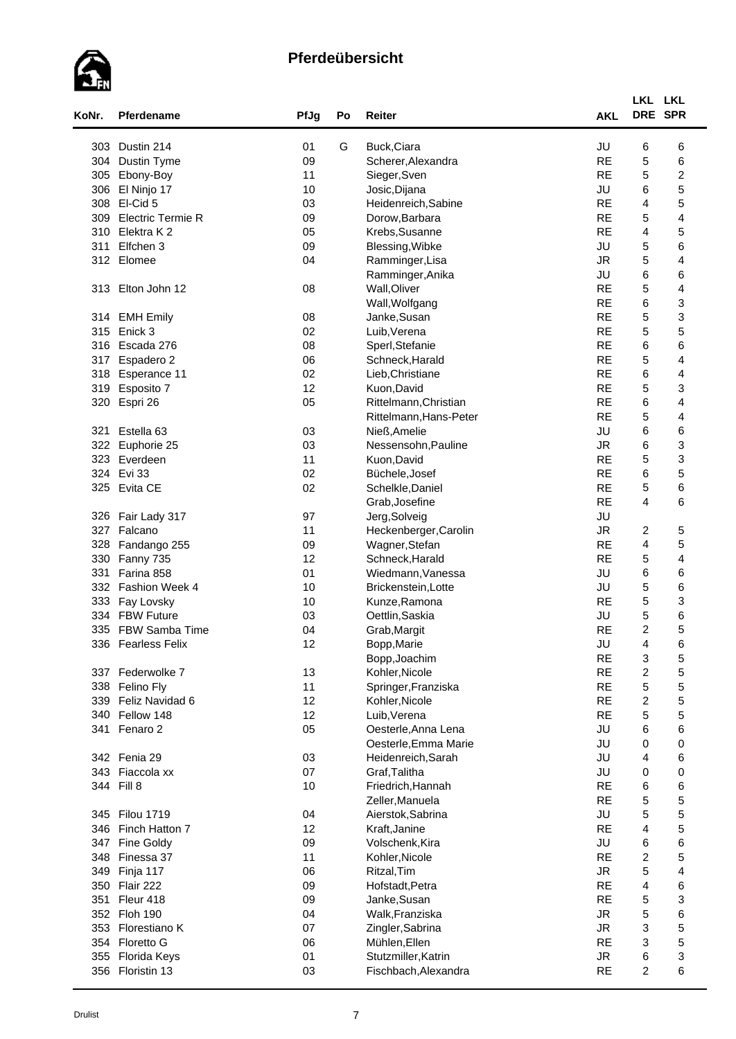

| KoNr. | Pferdename               | PfJg | Po | Reiter                 | <b>AKL</b>      | LKL LKL<br>DRE SPR        |                         |
|-------|--------------------------|------|----|------------------------|-----------------|---------------------------|-------------------------|
| 303   | Dustin 214               | 01   | G  | Buck, Ciara            | JU              | 6                         | 6                       |
| 304   | Dustin Tyme              | 09   |    | Scherer, Alexandra     | <b>RE</b>       | $\mathbf 5$               | 6                       |
| 305   | Ebony-Boy                | 11   |    | Sieger, Sven           | <b>RE</b>       | 5                         | $\boldsymbol{2}$        |
| 306   | El Ninjo 17              | 10   |    | Josic, Dijana          | JU              | 6                         | 5                       |
| 308   | El-Cid 5                 | 03   |    | Heidenreich, Sabine    | <b>RE</b>       | 4                         | 5                       |
| 309   | <b>Electric Termie R</b> | 09   |    | Dorow, Barbara         | <b>RE</b>       | 5                         | 4                       |
| 310   | Elektra K 2              | 05   |    | Krebs, Susanne         | <b>RE</b>       | 4                         | 5                       |
| 311   | Elfchen 3                | 09   |    | Blessing, Wibke        | JU              | 5                         | 6                       |
|       | 312 Elomee               |      |    |                        |                 | 5                         |                         |
|       |                          | 04   |    | Ramminger, Lisa        | <b>JR</b><br>JU | 6                         | 4<br>6                  |
|       |                          |      |    | Ramminger, Anika       | <b>RE</b>       |                           | $\overline{\mathbf{4}}$ |
|       | 313 Elton John 12        | 08   |    | Wall, Oliver           |                 | 5                         |                         |
|       |                          |      |    | Wall, Wolfgang         | <b>RE</b>       | 6                         | 3                       |
|       | 314 EMH Emily            | 08   |    | Janke, Susan           | <b>RE</b>       | 5                         | 3                       |
| 315   | Enick 3                  | 02   |    | Luib, Verena           | <b>RE</b>       | 5                         | 5                       |
|       | 316 Escada 276           | 08   |    | Sperl, Stefanie        | <b>RE</b>       | 6                         | 6                       |
| 317   | Espadero 2               | 06   |    | Schneck, Harald        | <b>RE</b>       | 5                         | 4                       |
| 318   | Esperance 11             | 02   |    | Lieb, Christiane       | <b>RE</b>       | 6                         | 4                       |
| 319   | Esposito 7               | 12   |    | Kuon, David            | <b>RE</b>       | 5                         | 3                       |
| 320   | Espri 26                 | 05   |    | Rittelmann, Christian  | <b>RE</b>       | 6                         | 4                       |
|       |                          |      |    | Rittelmann, Hans-Peter | <b>RE</b>       | 5                         | 4                       |
| 321   | Estella 63               | 03   |    | Nieß, Amelie           | JU              | 6                         | 6                       |
| 322   | Euphorie 25              | 03   |    | Nessensohn, Pauline    | <b>JR</b>       | 6                         | 3                       |
|       | 323 Everdeen             | 11   |    | Kuon, David            | <b>RE</b>       | 5                         | 3                       |
|       | 324 Evi 33               | 02   |    | Büchele, Josef         | <b>RE</b>       | 6                         | 5                       |
|       | 325 Evita CE             | 02   |    | Schelkle, Daniel       | <b>RE</b>       | $\mathbf 5$               | 6                       |
|       |                          |      |    | Grab, Josefine         | <b>RE</b>       | $\overline{4}$            | 6                       |
| 326   | Fair Lady 317            | 97   |    | Jerg, Solveig          | JU              |                           |                         |
| 327   | Falcano                  | 11   |    | Heckenberger, Carolin  | <b>JR</b>       | $\overline{c}$            | 5                       |
| 328   | Fandango 255             | 09   |    | Wagner, Stefan         | <b>RE</b>       | $\overline{\mathbf{4}}$   | 5                       |
| 330   | Fanny 735                | 12   |    | Schneck, Harald        | <b>RE</b>       | 5                         | 4                       |
| 331   | Farina 858               | 01   |    | Wiedmann, Vanessa      | JU              | 6                         | 6                       |
|       | 332 Fashion Week 4       | 10   |    | Brickenstein, Lotte    | JU              | 5                         | 6                       |
| 333   | Fay Lovsky               | 10   |    | Kunze, Ramona          | <b>RE</b>       | 5                         | 3                       |
|       | 334 FBW Future           | 03   |    | Oettlin, Saskia        | JU              | 5                         | 6                       |
| 335   | <b>FBW Samba Time</b>    | 04   |    | Grab, Margit           | <b>RE</b>       | $\boldsymbol{2}$          | 5                       |
| 336   | <b>Fearless Felix</b>    | 12   |    | Bopp, Marie            | JU              | 4                         | 6                       |
|       |                          |      |    | Bopp, Joachim          | <b>RE</b>       | 3                         | 5                       |
| 337   | Federwolke 7             | 13   |    | Kohler, Nicole         | <b>RE</b>       | $\boldsymbol{2}$          | 5                       |
|       | 338 Felino Fly           | 11   |    | Springer, Franziska    | <b>RE</b>       | $\mathbf 5$               | 5                       |
| 339   | Feliz Navidad 6          | 12   |    | Kohler, Nicole         | <b>RE</b>       | $\overline{c}$            | 5                       |
| 340   | Fellow 148               | 12   |    | Luib, Verena           | <b>RE</b>       | 5                         | 5                       |
| 341   | Fenaro 2                 | 05   |    | Oesterle, Anna Lena    | JU              | 6                         | 6                       |
|       |                          |      |    | Oesterle, Emma Marie   | JU              | 0                         | $\mathbf 0$             |
|       | 342 Fenia 29             | 03   |    | Heidenreich, Sarah     | JU              | 4                         | 6                       |
|       | 343 Fiaccola xx          | 07   |    | Graf, Talitha          | JU              | 0                         | $\mathbf 0$             |
|       | 344 Fill 8               | 10   |    | Friedrich, Hannah      | <b>RE</b>       | 6                         | 6                       |
|       |                          |      |    | Zeller, Manuela        | <b>RE</b>       | 5                         | 5                       |
|       | 345 Filou 1719           | 04   |    | Aierstok, Sabrina      | JU              | 5                         | 5                       |
|       | 346 Finch Hatton 7       | 12   |    | Kraft, Janine          | <b>RE</b>       | $\overline{\mathbf{4}}$   | 5                       |
| 347   | Fine Goldy               | 09   |    | Volschenk, Kira        | JU              | 6                         | 6                       |
|       | 348 Finessa 37           | 11   |    | Kohler, Nicole         | <b>RE</b>       | $\overline{c}$            | 5                       |
| 349   | Finja 117                | 06   |    | Ritzal, Tim            | <b>JR</b>       | 5                         | 4                       |
|       | 350 Flair 222            | 09   |    | Hofstadt, Petra        | <b>RE</b>       | 4                         | 6                       |
| 351   | Fleur 418                | 09   |    | Janke, Susan           | <b>RE</b>       | $\mathbf 5$               | 3                       |
|       | 352 Floh 190             | 04   |    | Walk, Franziska        | <b>JR</b>       | 5                         | 6                       |
|       | 353 Florestiano K        | 07   |    | Zingler, Sabrina       | <b>JR</b>       | 3                         | 5                       |
|       | 354 Floretto G           | 06   |    | Mühlen, Ellen          | <b>RE</b>       | $\ensuremath{\mathsf{3}}$ | 5                       |
|       |                          |      |    |                        | <b>JR</b>       |                           |                         |
|       | 355 Florida Keys         | 01   |    | Stutzmiller, Katrin    | <b>RE</b>       | 6<br>$\overline{c}$       | 3<br>6                  |
|       | 356 Floristin 13         | 03   |    | Fischbach, Alexandra   |                 |                           |                         |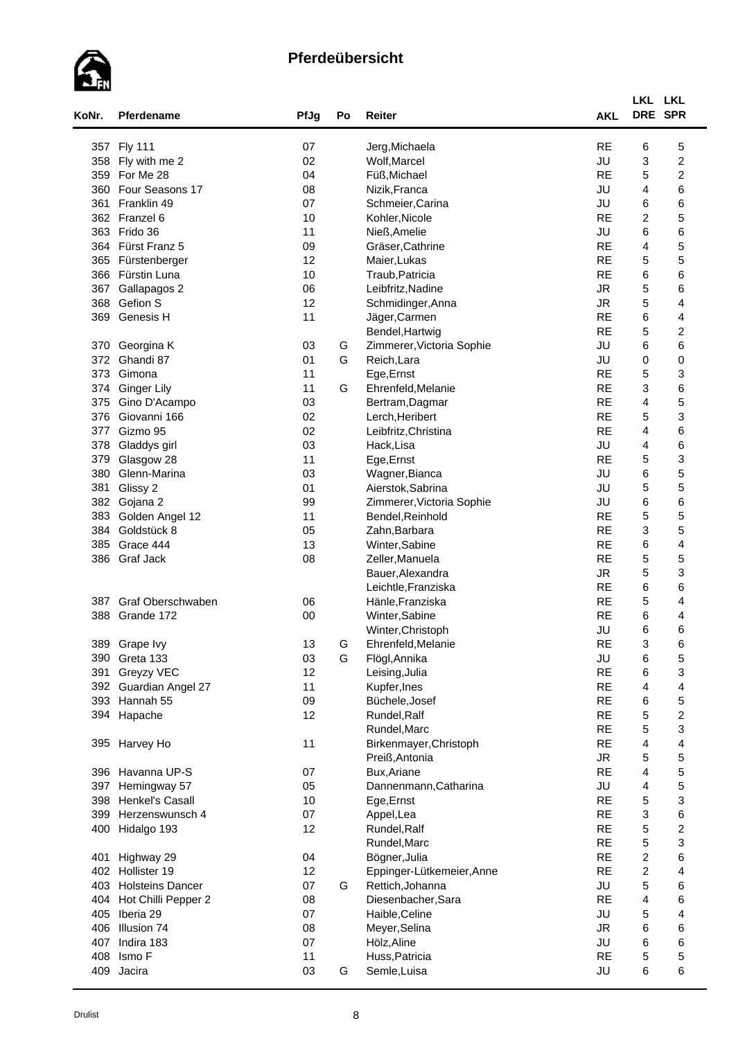

| KoNr.      | Pferdename              | PfJg     | Po     | <b>Reiter</b>             | <b>AKL</b> | LKL LKL<br>DRE SPR |                         |  |
|------------|-------------------------|----------|--------|---------------------------|------------|--------------------|-------------------------|--|
|            | 357 Fly 111             | 07       |        | Jerg, Michaela            | <b>RE</b>  | 6                  | 5                       |  |
|            | 358 Fly with me 2       | 02       |        | Wolf, Marcel              | JU         | 3                  | $\overline{\mathbf{c}}$ |  |
| 359        | For Me 28               | 04       |        | Füß, Michael              | <b>RE</b>  | 5                  | $\boldsymbol{2}$        |  |
| 360        | Four Seasons 17         | 08       |        | Nizik, Franca             | JU         | 4                  | 6                       |  |
| 361        | Franklin 49             | 07       |        | Schmeier, Carina          | JU         | 6                  | 6                       |  |
|            | 362 Franzel 6           | 10       |        | Kohler, Nicole            | <b>RE</b>  | $\overline{c}$     | 5                       |  |
|            | 363 Frido 36            | 11       |        | Nieß, Amelie              | JU         | 6                  | 6                       |  |
|            | 364 Fürst Franz 5       | 09       |        | Gräser, Cathrine          | <b>RE</b>  | 4                  | 5                       |  |
|            | 365 Fürstenberger       | 12       |        | Maier, Lukas              | <b>RE</b>  | 5                  | 5                       |  |
|            | 366 Fürstin Luna        | 10       |        | Traub, Patricia           | <b>RE</b>  | 6                  | 6                       |  |
| 367        | Gallapagos 2            | 06       |        | Leibfritz, Nadine         | <b>JR</b>  | $\mathbf 5$        | 6                       |  |
| 368        | Gefion S                | 12       |        | Schmidinger, Anna         | ${\sf JR}$ | $\mathbf 5$        | 4                       |  |
| 369        | Genesis H               | 11       |        | Jäger, Carmen             | <b>RE</b>  | 6                  | 4                       |  |
|            |                         |          |        | Bendel, Hartwig           | <b>RE</b>  | 5                  | 2                       |  |
|            |                         |          |        | Zimmerer, Victoria Sophie | JU         | 6                  | 6                       |  |
| 370<br>372 | Georgina K<br>Ghandi 87 | 03<br>01 | G<br>G | Reich, Lara               | JU         | 0                  | 0                       |  |
| 373        | Gimona                  | 11       |        |                           | <b>RE</b>  | 5                  | 3                       |  |
|            |                         |          |        | Ege, Ernst                |            |                    |                         |  |
| 374        | <b>Ginger Lily</b>      | 11       | G      | Ehrenfeld, Melanie        | <b>RE</b>  | 3                  | 6                       |  |
| 375        | Gino D'Acampo           | 03       |        | Bertram, Dagmar           | <b>RE</b>  | 4                  | 5                       |  |
| 376        | Giovanni 166            | 02       |        | Lerch, Heribert           | <b>RE</b>  | 5                  | 3                       |  |
| 377        | Gizmo 95                | 02       |        | Leibfritz, Christina      | <b>RE</b>  | 4                  | 6                       |  |
| 378        | Gladdys girl            | 03       |        | Hack, Lisa                | JU         | 4                  | 6                       |  |
| 379        | Glasgow 28              | 11       |        | Ege, Ernst                | <b>RE</b>  | 5                  | 3                       |  |
| 380        | Glenn-Marina            | 03       |        | Wagner, Bianca            | JU         | 6                  | 5                       |  |
| 381        | Glissy 2                | 01       |        | Aierstok, Sabrina         | JU         | 5                  | 5                       |  |
| 382        | Gojana 2                | 99       |        | Zimmerer, Victoria Sophie | JU         | 6                  | 6                       |  |
| 383        | Golden Angel 12         | 11       |        | Bendel, Reinhold          | <b>RE</b>  | 5                  | 5                       |  |
| 384        | Goldstück 8             | 05       |        | Zahn, Barbara             | <b>RE</b>  | 3                  | 5                       |  |
| 385        | Grace 444               | 13       |        | Winter, Sabine            | <b>RE</b>  | 6                  | 4                       |  |
| 386        | Graf Jack               | 08       |        | Zeller, Manuela           | <b>RE</b>  | 5                  | 5                       |  |
|            |                         |          |        | Bauer, Alexandra          | <b>JR</b>  | 5                  | 3                       |  |
|            |                         |          |        | Leichtle, Franziska       | <b>RE</b>  | 6                  | 6                       |  |
| 387        | Graf Oberschwaben       | 06       |        | Hänle, Franziska          | <b>RE</b>  | 5                  | 4                       |  |
| 388        | Grande 172              | $00\,$   |        | Winter, Sabine            | <b>RE</b>  | 6                  | 4                       |  |
|            |                         |          |        | Winter, Christoph         | JU         | 6                  | 6                       |  |
|            | 389 Grape lvy           | 13       | G      | Ehrenfeld, Melanie        | <b>RE</b>  | 3                  | 6                       |  |
|            | 390 Greta 133           | 03       | G      | Flögl, Annika             | JU         | 6                  | 5                       |  |
| 391        | Greyzy VEC              | 12       |        | Leising, Julia            | <b>RE</b>  | 6                  | 3                       |  |
| 392        | Guardian Angel 27       | 11       |        | Kupfer, Ines              | <b>RE</b>  | 4                  | 4                       |  |
| 393        | Hannah 55               | 09       |        | Büchele, Josef            | <b>RE</b>  | 6                  | 5                       |  |
|            | 394 Hapache             | 12       |        | Rundel, Ralf              | <b>RE</b>  | 5                  | $\boldsymbol{2}$        |  |
|            |                         |          |        | Rundel, Marc              | <b>RE</b>  | 5                  | 3                       |  |
|            | 395 Harvey Ho           | 11       |        | Birkenmayer, Christoph    | <b>RE</b>  | 4                  | 4                       |  |
|            |                         |          |        | Preiß, Antonia            | <b>JR</b>  | 5                  | 5                       |  |
|            | 396 Havanna UP-S        | 07       |        | Bux, Ariane               | <b>RE</b>  | 4                  | 5                       |  |
| 397        | Hemingway 57            | 05       |        | Dannenmann, Catharina     | JU         | 4                  | 5                       |  |
| 398        | <b>Henkel's Casall</b>  | 10       |        | Ege, Ernst                | <b>RE</b>  | 5                  | 3                       |  |
| 399        | Herzenswunsch 4         | 07       |        | Appel, Lea                | <b>RE</b>  | 3                  | 6                       |  |
| 400        | Hidalgo 193             | 12       |        | Rundel, Ralf              | <b>RE</b>  | 5                  | $\boldsymbol{2}$        |  |
|            |                         |          |        | Rundel, Marc              | <b>RE</b>  | 5                  | 3                       |  |
| 401        | Highway 29              | 04       |        | Bögner, Julia             | <b>RE</b>  | $\boldsymbol{2}$   | 6                       |  |
| 402        | Hollister 19            | 12       |        | Eppinger-Lütkemeier, Anne | <b>RE</b>  | $\boldsymbol{2}$   | 4                       |  |
|            | 403 Holsteins Dancer    | 07       | G      | Rettich, Johanna          | JU         | 5                  | 6                       |  |
| 404        | Hot Chilli Pepper 2     | 08       |        | Diesenbacher, Sara        | <b>RE</b>  | 4                  | 6                       |  |
| 405        | Iberia 29               | 07       |        | Haible, Celine            | JU         | 5                  | 4                       |  |
| 406        | Illusion 74             | 08       |        | Meyer, Selina             | <b>JR</b>  | 6                  | 6                       |  |
| 407        | Indira 183              | 07       |        | Hölz, Aline               | JU         | 6                  | 6                       |  |
| 408        | Ismo F                  | 11       |        | Huss, Patricia            | <b>RE</b>  | $\mathbf 5$        | 5                       |  |
| 409        | Jacira                  | 03       | G      | Semle, Luisa              | JU         | 6                  | 6                       |  |
|            |                         |          |        |                           |            |                    |                         |  |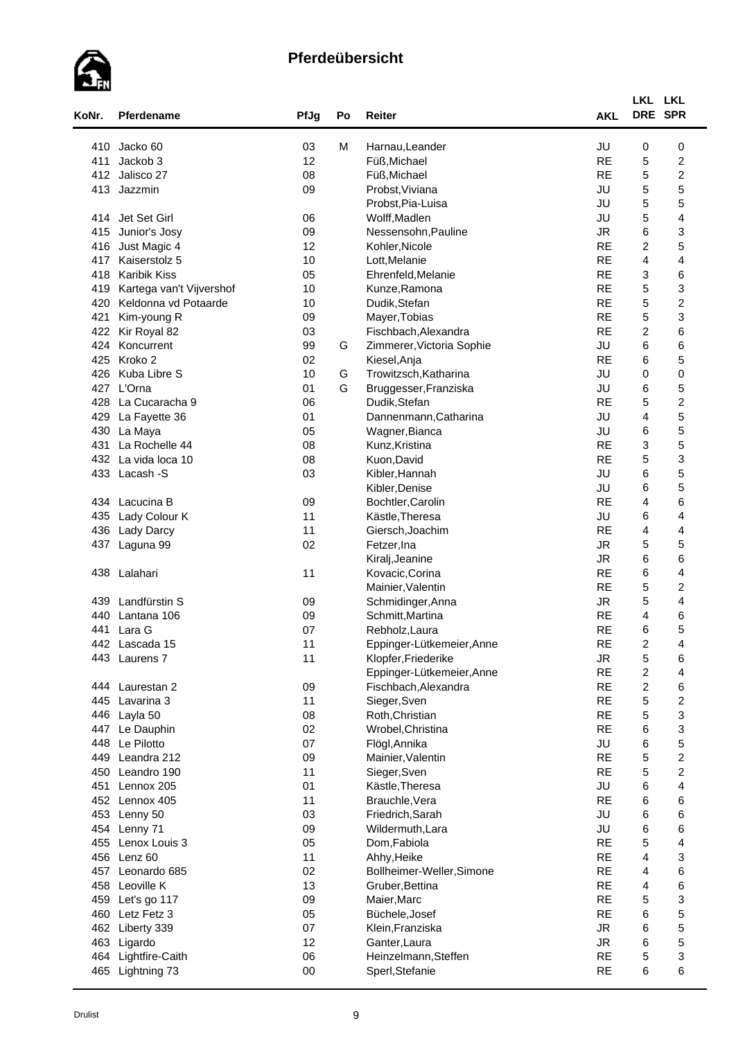

| KoNr. | Pferdename               | PfJg   | Po | Reiter                    | <b>AKL</b>      | LKL LKL<br>DRE SPR        |                         |
|-------|--------------------------|--------|----|---------------------------|-----------------|---------------------------|-------------------------|
| 410   | Jacko 60                 | 03     | M  | Harnau, Leander           | JU              | 0                         | 0                       |
| 411   | Jackob 3                 | 12     |    | Füß, Michael              | <b>RE</b>       | 5                         | $\boldsymbol{2}$        |
| 412   | Jalisco 27               | 08     |    | Füß, Michael              | <b>RE</b>       | 5                         | $\overline{\mathbf{c}}$ |
| 413   | Jazzmin                  | 09     |    | Probst, Viviana           | JU              | 5                         | 5                       |
|       |                          |        |    | Probst, Pia-Luisa         | JU              | 5                         | 5                       |
|       | 414 Jet Set Girl         | 06     |    | Wolff, Madlen             | JU              | 5                         | 4                       |
| 415   | Junior's Josy            | 09     |    | Nessensohn, Pauline       | <b>JR</b>       | 6                         | 3                       |
| 416   | Just Magic 4             | 12     |    | Kohler, Nicole            | <b>RE</b>       | $\overline{c}$            | 5                       |
| 417   | Kaiserstolz 5            | 10     |    | Lott, Melanie             | <b>RE</b>       | 4                         | $\overline{\mathbf{4}}$ |
| 418   | <b>Karibik Kiss</b>      | 05     |    | Ehrenfeld, Melanie        | <b>RE</b>       | 3                         | 6                       |
| 419   | Kartega van't Vijvershof | 10     |    | Kunze, Ramona             | <b>RE</b>       | 5                         | 3                       |
| 420   | Keldonna vd Potaarde     | 10     |    | Dudik, Stefan             | <b>RE</b>       | 5                         | $\boldsymbol{2}$        |
| 421   | Kim-young R              | 09     |    | Mayer, Tobias             | <b>RE</b>       | 5                         | 3                       |
| 422   | Kir Royal 82             | 03     |    | Fischbach, Alexandra      | <b>RE</b>       | $\overline{c}$            | 6                       |
| 424   | Koncurrent               | 99     | G  | Zimmerer, Victoria Sophie | JU              | 6                         | 6                       |
| 425   | Kroko 2                  | 02     |    | Kiesel, Anja              | <b>RE</b>       | 6                         | 5                       |
| 426   | Kuba Libre S             | 10     | G  | Trowitzsch, Katharina     | JU              | 0                         | $\pmb{0}$               |
|       | 427 L'Orna               | 01     | G  | Bruggesser, Franziska     | JU              | 6                         | 5                       |
| 428   | La Cucaracha 9           | 06     |    | Dudik, Stefan             | <b>RE</b>       | 5                         | $\boldsymbol{2}$        |
| 429   | La Fayette 36            | 01     |    | Dannenmann, Catharina     | JU              | 4                         | 5                       |
| 430   | La Maya                  | 05     |    | Wagner, Bianca            | JU              | 6                         | 5                       |
| 431   | La Rochelle 44           | 08     |    | Kunz, Kristina            | <b>RE</b>       | $\ensuremath{\mathsf{3}}$ | 5                       |
|       | 432 La vida loca 10      | 08     |    | Kuon, David               | <b>RE</b>       | 5                         | 3                       |
|       |                          |        |    |                           | JU              | 6                         | 5                       |
|       | 433 Lacash - S           | 03     |    | Kibler, Hannah            |                 |                           |                         |
|       |                          |        |    | Kibler, Denise            | JU<br><b>RE</b> | 6                         | 5                       |
|       | 434 Lacucina B           | 09     |    | Bochtler, Carolin         |                 | 4                         | 6                       |
| 435   | Lady Colour K            | 11     |    | Kästle, Theresa           | JU              | 6                         | 4                       |
| 436   | <b>Lady Darcy</b>        | 11     |    | Giersch, Joachim          | <b>RE</b>       | 4                         | 4                       |
| 437   | Laguna 99                | 02     |    | Fetzer, Ina               | <b>JR</b>       | 5                         | 5                       |
|       |                          |        |    | Kiralj, Jeanine           | <b>JR</b>       | 6                         | 6                       |
| 438   | Lalahari                 | 11     |    | Kovacic, Corina           | <b>RE</b>       | 6                         | 4                       |
|       |                          |        |    | Mainier, Valentin         | <b>RE</b>       | 5                         | $\overline{c}$          |
| 439   | Landfürstin S            | 09     |    | Schmidinger, Anna         | <b>JR</b>       | 5                         | $\overline{\mathbf{4}}$ |
| 440   | Lantana 106              | 09     |    | Schmitt, Martina          | <b>RE</b>       | $\overline{\mathbf{4}}$   | 6                       |
| 441   | Lara G                   | 07     |    | Rebholz, Laura            | <b>RE</b>       | 6                         | 5                       |
|       | 442 Lascada 15           | 11     |    | Eppinger-Lütkemeier, Anne | <b>RE</b>       | $\overline{2}$            | 4                       |
| 443   | Laurens 7                | 11     |    | Klopfer, Friederike       | <b>JR</b>       | $\mathbf 5$               | 6                       |
|       |                          |        |    | Eppinger-Lütkemeier, Anne | <b>RE</b>       | $\overline{c}$            | 4                       |
|       | 444 Laurestan 2          | 09     |    | Fischbach, Alexandra      | <b>RE</b>       | $\overline{c}$            | 6                       |
| 445   | Lavarina 3               | 11     |    | Sieger, Sven              | <b>RE</b>       | 5                         | $\overline{\mathbf{c}}$ |
| 446   | Layla 50                 | 08     |    | Roth, Christian           | <b>RE</b>       | 5                         | 3                       |
| 447   | Le Dauphin               | 02     |    | Wrobel, Christina         | <b>RE</b>       | 6                         | 3                       |
| 448   | Le Pilotto               | 07     |    | Flögl, Annika             | JU              | 6                         | 5                       |
| 449   | Leandra 212              | 09     |    | Mainier, Valentin         | <b>RE</b>       | 5                         | $\boldsymbol{2}$        |
| 450   | Leandro 190              | 11     |    | Sieger, Sven              | <b>RE</b>       | 5                         | $\overline{c}$          |
| 451   | Lennox 205               | 01     |    | Kästle, Theresa           | JU              | 6                         | $\overline{\mathbf{4}}$ |
|       | 452 Lennox 405           | 11     |    | Brauchle, Vera            | <b>RE</b>       | 6                         | 6                       |
|       | 453 Lenny 50             | 03     |    | Friedrich, Sarah          | JU              | 6                         | 6                       |
| 454   | Lenny 71                 | 09     |    | Wildermuth, Lara          | JU              | 6                         | 6                       |
| 455   | Lenox Louis 3            | 05     |    | Dom, Fabiola              | <b>RE</b>       | 5                         | 4                       |
|       | 456 Lenz 60              | 11     |    | Ahhy, Heike               | <b>RE</b>       | $\overline{4}$            | 3                       |
| 457   | Leonardo 685             | 02     |    | Bollheimer-Weller, Simone | <b>RE</b>       | 4                         | 6                       |
| 458   | Leoville K               | 13     |    | Gruber, Bettina           | <b>RE</b>       | 4                         | 6                       |
| 459   | Let's go 117             | 09     |    | Maier, Marc               | <b>RE</b>       | 5                         | 3                       |
| 460   | Letz Fetz 3              | 05     |    | Büchele, Josef            | <b>RE</b>       | 6                         | 5                       |
| 462   | Liberty 339              | 07     |    | Klein, Franziska          | <b>JR</b>       | 6                         | 5                       |
| 463   | Ligardo                  | 12     |    | Ganter, Laura             | <b>JR</b>       | 6                         | 5                       |
| 464   | Lightfire-Caith          | 06     |    | Heinzelmann, Steffen      | <b>RE</b>       | 5                         | 3                       |
| 465   | Lightning 73             | $00\,$ |    | Sperl, Stefanie           | <b>RE</b>       | 6                         | 6                       |
|       |                          |        |    |                           |                 |                           |                         |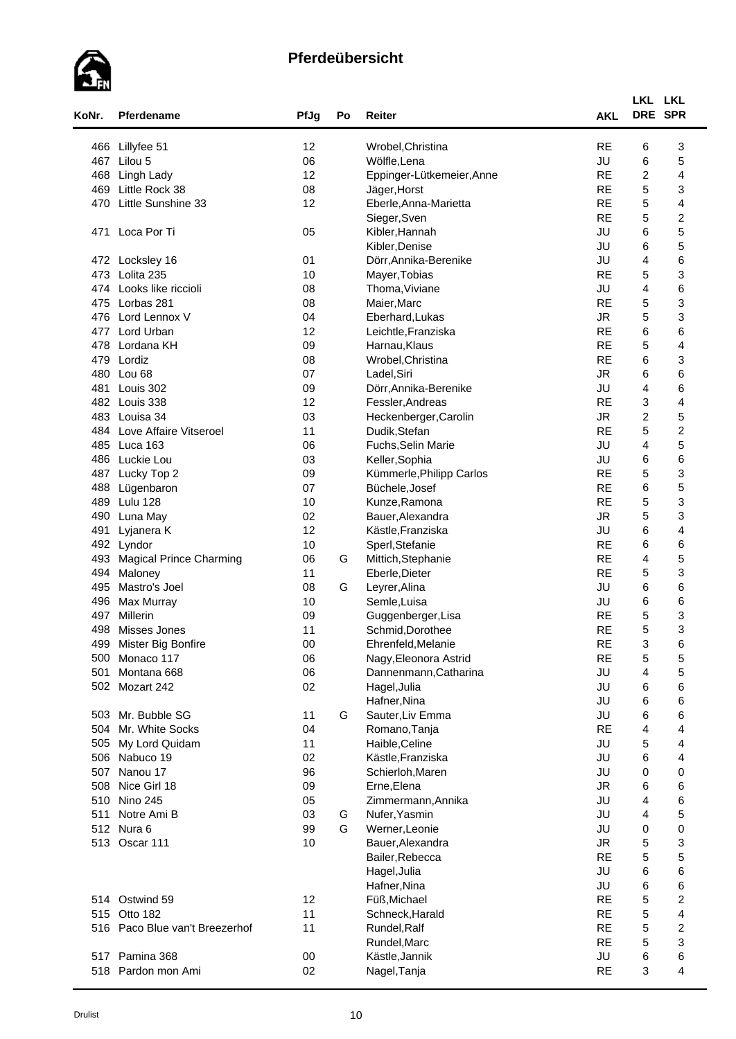

| KoNr. | Pferdename                     | PfJg   | Po | Reiter                    | <b>AKL</b> | LKL LKL<br>DRE SPR |                  |  |
|-------|--------------------------------|--------|----|---------------------------|------------|--------------------|------------------|--|
| 466   | Lillyfee 51                    | 12     |    | Wrobel, Christina         | <b>RE</b>  | 6                  | 3                |  |
| 467   | Lilou 5                        | 06     |    | Wölfle, Lena              | JU         | 6                  | 5                |  |
| 468   | Lingh Lady                     | 12     |    | Eppinger-Lütkemeier, Anne | <b>RE</b>  | $\overline{c}$     | 4                |  |
| 469   | Little Rock 38                 | 08     |    | Jäger, Horst              | <b>RE</b>  | 5                  | 3                |  |
| 470   | Little Sunshine 33             | 12     |    | Eberle, Anna-Marietta     | <b>RE</b>  | 5                  | 4                |  |
|       |                                |        |    | Sieger, Sven              | <b>RE</b>  | 5                  | $\boldsymbol{2}$ |  |
| 471   | Loca Por Ti                    | 05     |    | Kibler, Hannah            | JU         | 6                  | 5                |  |
|       |                                |        |    | Kibler, Denise            | JU         | 6                  | 5                |  |
|       | 472 Locksley 16                | 01     |    | Dörr, Annika-Berenike     | JU         | 4                  | 6                |  |
|       | 473 Lolita 235                 | 10     |    | Mayer, Tobias             | <b>RE</b>  | 5                  | 3                |  |
|       | 474 Looks like riccioli        | 08     |    | Thoma, Viviane            | JU         | 4                  | 6                |  |
|       | 475 Lorbas 281                 | 08     |    | Maier, Marc               | <b>RE</b>  | $\mathbf 5$        | 3                |  |
|       | 476 Lord Lennox V              | 04     |    | Eberhard, Lukas           | <b>JR</b>  | 5                  | 3                |  |
| 477   | Lord Urban                     | 12     |    | Leichtle, Franziska       | <b>RE</b>  | 6                  | 6                |  |
| 478   | Lordana KH                     | 09     |    | Harnau, Klaus             | <b>RE</b>  | 5                  | 4                |  |
| 479   | Lordiz                         | 08     |    | Wrobel, Christina         | <b>RE</b>  | 6                  | 3                |  |
| 480   | Lou 68                         | 07     |    | Ladel, Siri               | <b>JR</b>  | 6                  | 6                |  |
| 481   | Louis 302                      | 09     |    | Dörr, Annika-Berenike     | JU         | 4                  | 6                |  |
| 482   | Louis 338                      | 12     |    | Fessler, Andreas          | <b>RE</b>  | 3                  | $\overline{4}$   |  |
|       | 483 Louisa 34                  | 03     |    | Heckenberger, Carolin     | <b>JR</b>  | $\boldsymbol{2}$   | 5                |  |
|       | 484 Love Affaire Vitseroel     | 11     |    | Dudik, Stefan             | <b>RE</b>  | 5                  | $\boldsymbol{2}$ |  |
|       | 485 Luca 163                   | 06     |    | Fuchs, Selin Marie        | JU         | 4                  | 5                |  |
|       | 486 Luckie Lou                 | 03     |    | Keller, Sophia            | JU         | 6                  | 6                |  |
| 487   | Lucky Top 2                    | 09     |    | Kümmerle, Philipp Carlos  | <b>RE</b>  | 5                  | 3                |  |
| 488   | Lügenbaron                     | 07     |    | Büchele, Josef            | <b>RE</b>  | 6                  | 5                |  |
| 489   | Lulu 128                       | 10     |    | Kunze, Ramona             | <b>RE</b>  | 5                  | 3                |  |
| 490   | Luna May                       | 02     |    | Bauer, Alexandra          | <b>JR</b>  | 5                  | 3                |  |
| 491   | Lyjanera K                     | 12     |    | Kästle, Franziska         | JU         | 6                  | 4                |  |
|       | 492 Lyndor                     | 10     |    | Sperl, Stefanie           | <b>RE</b>  | 6                  | 6                |  |
| 493   | <b>Magical Prince Charming</b> | 06     | G  | Mittich, Stephanie        | <b>RE</b>  | 4                  | 5                |  |
| 494   | Maloney                        | 11     |    | Eberle, Dieter            | <b>RE</b>  | 5                  | 3                |  |
| 495   | Mastro's Joel                  | 08     | G  | Leyrer, Alina             | JU         | 6                  | 6                |  |
| 496   | Max Murray                     | 10     |    | Semle, Luisa              | JU         | 6                  | 6                |  |
| 497   | Millerin                       | 09     |    | Guggenberger, Lisa        | <b>RE</b>  | $\mathbf 5$        | 3                |  |
| 498   | Misses Jones                   | 11     |    | Schmid, Dorothee          | <b>RE</b>  | 5                  | 3                |  |
|       | 499 Mister Big Bonfire         | $00\,$ |    | Ehrenfeld, Melanie        | RE         | 3                  | 6                |  |
|       | 500 Monaco 117                 | 06     |    | Nagy, Eleonora Astrid     | <b>RE</b>  | 5                  | 5                |  |
| 501   | Montana 668                    | 06     |    | Dannenmann, Catharina     | JU         | 4                  | 5                |  |
|       | 502 Mozart 242                 | 02     |    | Hagel, Julia              | JU         | 6                  | 6                |  |
|       |                                |        |    | Hafner, Nina              | JU         | 6                  | 6                |  |
|       | 503 Mr. Bubble SG              | 11     | G  | Sauter, Liv Emma          | JU         | 6                  | 6                |  |
|       | 504 Mr. White Socks            | 04     |    | Romano, Tanja             | <b>RE</b>  | 4                  | 4                |  |
|       | 505 My Lord Quidam             | 11     |    | Haible, Celine            | JU         | 5                  | 4                |  |
|       | 506 Nabuco 19                  | 02     |    | Kästle, Franziska         | JU         | 6                  | 4                |  |
|       | 507 Nanou 17                   | 96     |    | Schierloh, Maren          | JU         | 0                  | $\mathbf 0$      |  |
|       | 508 Nice Girl 18               | 09     |    | Erne, Elena               | <b>JR</b>  | 6                  | 6                |  |
|       | 510 Nino 245                   | 05     |    | Zimmermann, Annika        | JU         | 4                  | 6                |  |
| 511   | Notre Ami B                    | 03     | G  | Nufer, Yasmin             | JU         | 4                  | 5                |  |
|       | 512 Nura 6                     | 99     | G  | Werner, Leonie            | JU         | 0                  | $\mathbf 0$      |  |
|       | 513 Oscar 111                  | 10     |    | Bauer, Alexandra          | <b>JR</b>  | 5                  | 3                |  |
|       |                                |        |    | Bailer, Rebecca           | <b>RE</b>  | 5                  | 5                |  |
|       |                                |        |    | Hagel, Julia              | JU         | 6                  | 6                |  |
|       |                                |        |    | Hafner, Nina              | JU         | 6                  | 6                |  |
|       | 514 Ostwind 59                 | 12     |    | Füß, Michael              | <b>RE</b>  | 5                  | $\overline{c}$   |  |
|       | 515 Otto 182                   | 11     |    | Schneck, Harald           | <b>RE</b>  | 5                  | 4                |  |
|       | 516 Paco Blue van't Breezerhof | 11     |    | Rundel, Ralf              | <b>RE</b>  | 5                  | $\boldsymbol{2}$ |  |
|       |                                |        |    | Rundel, Marc              | <b>RE</b>  | 5                  | 3                |  |
| 517   | Pamina 368                     | $00\,$ |    | Kästle, Jannik            | JU         | 6                  | 6                |  |
|       | 518 Pardon mon Ami             | 02     |    | Nagel, Tanja              | <b>RE</b>  | 3                  | 4                |  |
|       |                                |        |    |                           |            |                    |                  |  |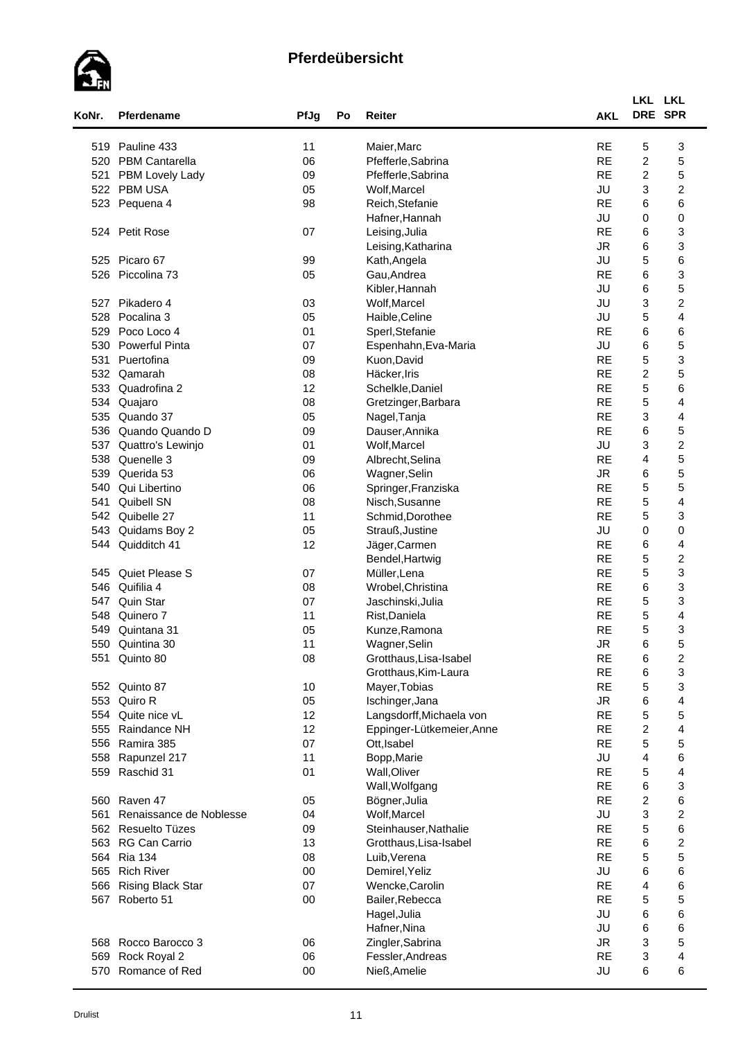

| KoNr. | Pferdename               | PfJg   | Po | <b>Reiter</b>             | <b>AKL</b> | LKL LKL                   | DRE SPR                 |
|-------|--------------------------|--------|----|---------------------------|------------|---------------------------|-------------------------|
|       |                          |        |    |                           |            |                           |                         |
| 519   | Pauline 433              | 11     |    | Maier, Marc               | <b>RE</b>  | 5                         | 3                       |
| 520   | <b>PBM Cantarella</b>    | 06     |    | Pfefferle, Sabrina        | <b>RE</b>  | $\overline{c}$            | 5                       |
| 521   | PBM Lovely Lady          | 09     |    | Pfefferle, Sabrina        | <b>RE</b>  | $\overline{c}$            | 5                       |
|       | 522 PBM USA              | 05     |    | Wolf, Marcel              | JU         | 3                         | $\boldsymbol{2}$        |
| 523   | Pequena 4                | 98     |    | Reich, Stefanie           | <b>RE</b>  | 6                         | 6                       |
|       |                          |        |    | Hafner, Hannah            | JU         | 0                         | $\mathbf 0$             |
|       | 524 Petit Rose           | 07     |    | Leising, Julia            | <b>RE</b>  | 6                         | 3                       |
|       |                          |        |    | Leising, Katharina        | <b>JR</b>  | 6                         | 3                       |
|       | 525 Picaro 67            | 99     |    | Kath, Angela              | JU         | 5                         | 6                       |
| 526   | Piccolina 73             | 05     |    | Gau, Andrea               | <b>RE</b>  | 6                         | 3                       |
|       |                          |        |    | Kibler, Hannah            | JU         | 6                         | 5                       |
| 527   | Pikadero 4               | 03     |    | Wolf, Marcel              | JU         | 3                         | $\boldsymbol{2}$        |
| 528   | Pocalina 3               | 05     |    | Haible, Celine            | JU         | 5                         | 4                       |
| 529   | Poco Loco 4              | 01     |    | Sperl, Stefanie           | <b>RE</b>  | 6                         | 6                       |
| 530   | <b>Powerful Pinta</b>    | 07     |    | Espenhahn, Eva-Maria      | JU         | 6                         | 5                       |
| 531   | Puertofina               | 09     |    | Kuon, David               | <b>RE</b>  | 5                         | 3                       |
| 532   | Qamarah                  | 08     |    | Häcker, Iris              | <b>RE</b>  | $\boldsymbol{2}$          | 5                       |
| 533   | Quadrofina 2             | 12     |    | Schelkle, Daniel          | <b>RE</b>  | 5                         | 6                       |
| 534   | Quajaro                  | 08     |    | Gretzinger, Barbara       | <b>RE</b>  | 5                         | $\overline{4}$          |
| 535   | Quando 37                | 05     |    | Nagel, Tanja              | <b>RE</b>  | $\ensuremath{\mathsf{3}}$ | $\overline{\mathbf{4}}$ |
| 536   | Quando Quando D          | 09     |    | Dauser, Annika            | <b>RE</b>  | 6                         | 5                       |
| 537   | Quattro's Lewinjo        | 01     |    | Wolf, Marcel              | JU         | 3                         | $\boldsymbol{2}$        |
| 538   | Quenelle 3               | 09     |    | Albrecht, Selina          | <b>RE</b>  | 4                         | 5                       |
| 539   | Querida 53               | 06     |    | Wagner, Selin             | <b>JR</b>  | 6                         | 5                       |
| 540   | Qui Libertino            | 06     |    | Springer, Franziska       | <b>RE</b>  | 5                         | 5                       |
| 541   | Quibell SN               | 08     |    | Nisch, Susanne            | <b>RE</b>  | 5                         | 4                       |
| 542   | Quibelle 27              | 11     |    | Schmid, Dorothee          | <b>RE</b>  | 5                         | 3                       |
| 543   | Quidams Boy 2            | 05     |    | Strauß, Justine           | JU         | 0                         | 0                       |
| 544   | Quidditch 41             | 12     |    | Jäger, Carmen             | <b>RE</b>  | 6                         | 4                       |
|       |                          |        |    | Bendel, Hartwig           | <b>RE</b>  | 5                         | $\boldsymbol{2}$        |
| 545   | Quiet Please S           | 07     |    | Müller, Lena              | <b>RE</b>  | 5                         | 3                       |
| 546   | Quifilia 4               | 08     |    | Wrobel, Christina         | <b>RE</b>  | 6                         | 3                       |
| 547   | Quin Star                | 07     |    | Jaschinski, Julia         | <b>RE</b>  | 5                         | 3                       |
| 548   | Quinero 7                | 11     |    | Rist, Daniela             | <b>RE</b>  | $\mathbf 5$               | 4                       |
| 549   | Quintana 31              | 05     |    | Kunze, Ramona             | <b>RE</b>  | 5                         | 3                       |
|       | 550 Quintina 30          | 11     |    | Wagner, Selin             | JR         | 6                         | 5                       |
|       | 551 Quinto 80            | 08     |    | Grotthaus, Lisa-Isabel    | <b>RE</b>  | 6                         | $\boldsymbol{2}$        |
|       |                          |        |    | Grotthaus, Kim-Laura      | <b>RE</b>  | 6                         | 3                       |
|       | 552 Quinto 87            | 10     |    | Mayer, Tobias             | <b>RE</b>  | 5                         | 3                       |
|       | 553 Quiro R              | 05     |    | Ischinger, Jana           | <b>JR</b>  | 6                         | 4                       |
|       | 554 Quite nice vL        | 12     |    | Langsdorff, Michaela von  | <b>RE</b>  | 5                         | 5                       |
|       | 555 Raindance NH         | 12     |    | Eppinger-Lütkemeier, Anne | <b>RE</b>  | $\overline{c}$            | 4                       |
| 556   | Ramira 385               | 07     |    | Ott, Isabel               | <b>RE</b>  | 5                         | 5                       |
| 558   | Rapunzel 217             | 11     |    | Bopp, Marie               | JU         | 4                         | 6                       |
|       | 559 Raschid 31           | 01     |    | Wall, Oliver              | <b>RE</b>  | 5                         | 4                       |
|       |                          |        |    | Wall, Wolfgang            | <b>RE</b>  | 6                         | 3                       |
|       | 560 Raven 47             | 05     |    | Bögner, Julia             | <b>RE</b>  | $\boldsymbol{2}$          | 6                       |
| 561   | Renaissance de Noblesse  | 04     |    | Wolf, Marcel              | JU         | 3                         | $\boldsymbol{2}$        |
|       | 562 Resuelto Tüzes       | 09     |    | Steinhauser, Nathalie     | <b>RE</b>  | 5                         | 6                       |
|       | 563 RG Can Carrio        | 13     |    | Grotthaus, Lisa-Isabel    | <b>RE</b>  | 6                         | $\overline{\mathbf{c}}$ |
| 564   | <b>Ria 134</b>           | 08     |    | Luib, Verena              | <b>RE</b>  | 5                         | 5                       |
|       | 565 Rich River           | $00\,$ |    | Demirel, Yeliz            | JU         | 6                         | 6                       |
| 566   | <b>Rising Black Star</b> | 07     |    |                           | <b>RE</b>  | 4                         | 6                       |
|       |                          |        |    | Wencke, Carolin           | <b>RE</b>  |                           | 5                       |
|       | 567 Roberto 51           | $00\,$ |    | Bailer, Rebecca           |            | 5                         |                         |
|       |                          |        |    | Hagel, Julia              | JU         | 6                         | 6                       |
|       |                          |        |    | Hafner, Nina              | JU         | 6                         | 6                       |
|       | 568 Rocco Barocco 3      | 06     |    | Zingler, Sabrina          | <b>JR</b>  | 3                         | 5                       |
| 569   | Rock Royal 2             | 06     |    | Fessler, Andreas          | <b>RE</b>  | 3                         | 4                       |
| 570   | Romance of Red           | $00\,$ |    | Nieß, Amelie              | JU         | 6                         | 6                       |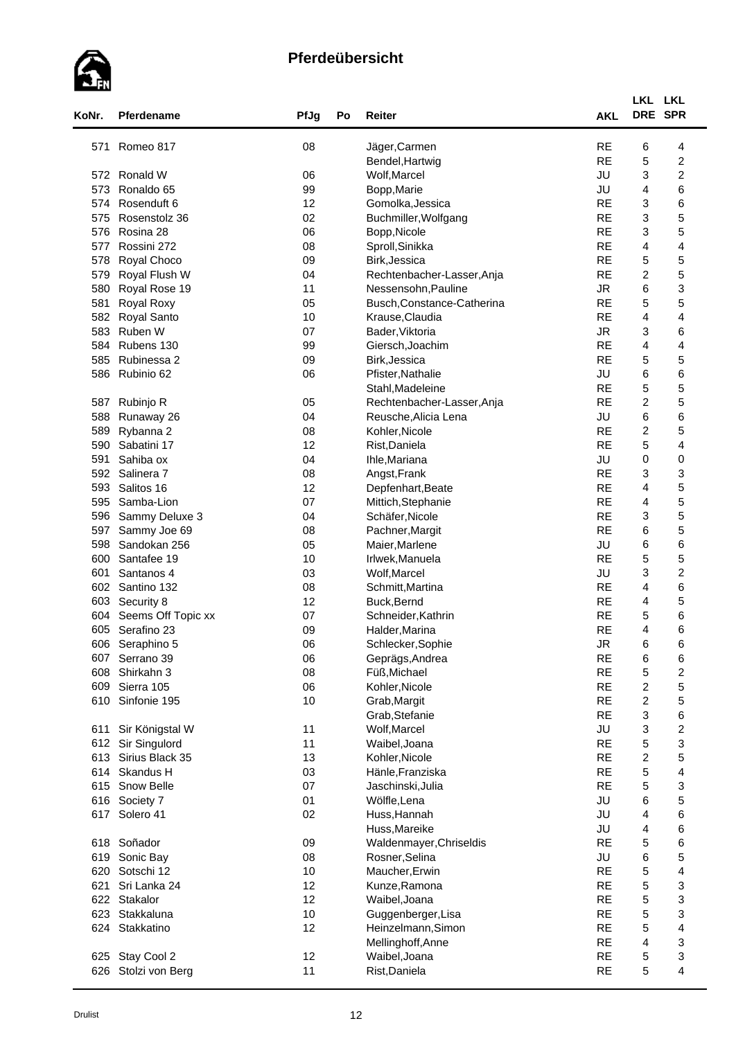

| KoNr. | Pferdename         | PfJg | Po | Reiter                                         | <b>AKL</b> | LKL<br>DRE SPR            | <b>LKL</b>              |  |
|-------|--------------------|------|----|------------------------------------------------|------------|---------------------------|-------------------------|--|
| 571   | Romeo 817          | 08   |    | Jäger, Carmen                                  | <b>RE</b>  | 6                         | 4                       |  |
|       |                    |      |    | Bendel, Hartwig                                | <b>RE</b>  | 5                         | $\boldsymbol{2}$        |  |
| 572   | Ronald W           | 06   |    | Wolf, Marcel                                   | JU         | 3                         | $\overline{\mathbf{c}}$ |  |
| 573   | Ronaldo 65         | 99   |    | Bopp, Marie                                    | JU         | 4                         | 6                       |  |
| 574   | Rosenduft 6        | 12   |    | Gomolka, Jessica                               | <b>RE</b>  | 3                         | 6                       |  |
| 575   | Rosenstolz 36      | 02   |    | Buchmiller, Wolfgang                           | <b>RE</b>  | $\ensuremath{\mathsf{3}}$ | 5                       |  |
| 576   | Rosina 28          | 06   |    | Bopp, Nicole                                   | <b>RE</b>  | $\ensuremath{\mathsf{3}}$ | 5                       |  |
| 577   | Rossini 272        | 08   |    | Sproll, Sinikka                                | <b>RE</b>  | $\overline{4}$            | 4                       |  |
| 578   | Royal Choco        | 09   |    | Birk, Jessica                                  | <b>RE</b>  | 5                         | 5                       |  |
| 579   | Royal Flush W      | 04   |    | Rechtenbacher-Lasser, Anja                     | <b>RE</b>  | $\boldsymbol{2}$          | 5                       |  |
| 580   | Royal Rose 19      | 11   |    | Nessensohn, Pauline                            | <b>JR</b>  | 6                         | 3                       |  |
| 581   | Royal Roxy         | 05   |    | Busch, Constance-Catherina                     | <b>RE</b>  | 5                         | 5                       |  |
| 582   | Royal Santo        | 10   |    | Krause, Claudia                                | <b>RE</b>  | 4                         | 4                       |  |
| 583   | Ruben W            | 07   |    | Bader, Viktoria                                | <b>JR</b>  | 3                         | 6                       |  |
| 584   | Rubens 130         | 99   |    | Giersch, Joachim                               | <b>RE</b>  | $\overline{4}$            | 4                       |  |
| 585   | Rubinessa 2        | 09   |    | Birk, Jessica                                  | <b>RE</b>  | 5                         | 5                       |  |
| 586   | Rubinio 62         | 06   |    |                                                | JU         | 6                         |                         |  |
|       |                    |      |    | Pfister, Nathalie                              | <b>RE</b>  | 5                         | 6<br>5                  |  |
| 587   | Rubinjo R          | 05   |    | Stahl, Madeleine<br>Rechtenbacher-Lasser, Anja | <b>RE</b>  | $\overline{c}$            | 5                       |  |
| 588   |                    | 04   |    | Reusche, Alicia Lena                           | JU         | 6                         | 6                       |  |
|       | Runaway 26         |      |    |                                                | <b>RE</b>  |                           | 5                       |  |
| 589   | Rybanna 2          | 08   |    | Kohler, Nicole                                 |            | $\overline{c}$            |                         |  |
| 590   | Sabatini 17        | 12   |    | Rist, Daniela                                  | <b>RE</b>  | 5                         | 4                       |  |
| 591   | Sahiba ox          | 04   |    | Ihle, Mariana                                  | JU         | 0                         | $\mathbf 0$             |  |
| 592   | Salinera 7         | 08   |    | Angst, Frank                                   | <b>RE</b>  | $\ensuremath{\mathsf{3}}$ | 3                       |  |
| 593   | Salitos 16         | 12   |    | Depfenhart, Beate                              | <b>RE</b>  | 4                         | 5                       |  |
| 595   | Samba-Lion         | 07   |    | Mittich, Stephanie                             | <b>RE</b>  | 4                         | 5                       |  |
| 596   | Sammy Deluxe 3     | 04   |    | Schäfer, Nicole                                | <b>RE</b>  | 3                         | 5                       |  |
| 597   | Sammy Joe 69       | 08   |    | Pachner, Margit                                | <b>RE</b>  | 6                         | 5                       |  |
| 598   | Sandokan 256       | 05   |    | Maier, Marlene                                 | JU         | 6                         | 6                       |  |
| 600   | Santafee 19        | 10   |    | Irlwek, Manuela                                | <b>RE</b>  | 5                         | 5                       |  |
| 601   | Santanos 4         | 03   |    | Wolf, Marcel                                   | JU         | 3                         | $\boldsymbol{2}$        |  |
| 602   | Santino 132        | 08   |    | Schmitt, Martina                               | <b>RE</b>  | $\overline{4}$            | 6                       |  |
| 603   | Security 8         | 12   |    | Buck, Bernd                                    | <b>RE</b>  | $\overline{4}$            | 5                       |  |
| 604   | Seems Off Topic xx | 07   |    | Schneider, Kathrin                             | <b>RE</b>  | 5                         | 6                       |  |
| 605   | Serafino 23        | 09   |    | Halder, Marina                                 | <b>RE</b>  | 4                         | 6                       |  |
| 606   | Seraphino 5        | 06   |    | Schlecker, Sophie                              | <b>JR</b>  | 6                         | 6                       |  |
|       | 607 Serrano 39     | 06   |    | Geprägs, Andrea                                | <b>RE</b>  | 6                         | 6                       |  |
| 608   | Shirkahn 3         | 08   |    | Füß, Michael                                   | <b>RE</b>  | 5                         | $\overline{\mathbf{c}}$ |  |
| 609   | Sierra 105         | 06   |    | Kohler, Nicole                                 | <b>RE</b>  | $\overline{c}$            | 5                       |  |
| 610   | Sinfonie 195       | 10   |    | Grab, Margit                                   | <b>RE</b>  | $\boldsymbol{2}$          | 5                       |  |
|       |                    |      |    | Grab, Stefanie                                 | <b>RE</b>  | $\ensuremath{\mathsf{3}}$ | 6                       |  |
| 611   | Sir Königstal W    | 11   |    | Wolf, Marcel                                   | JU         | $\ensuremath{\mathsf{3}}$ | $\overline{\mathbf{c}}$ |  |
| 612   | Sir Singulord      | 11   |    | Waibel, Joana                                  | <b>RE</b>  | $\mathbf 5$               | 3                       |  |
| 613   | Sirius Black 35    | 13   |    | Kohler, Nicole                                 | <b>RE</b>  | $\overline{c}$            | 5                       |  |
|       | 614 Skandus H      | 03   |    | Hänle, Franziska                               | <b>RE</b>  | 5                         | $\overline{\mathbf{4}}$ |  |
|       | 615 Snow Belle     | 07   |    | Jaschinski, Julia                              | <b>RE</b>  | 5                         | 3                       |  |
|       | 616 Society 7      | 01   |    | Wölfle, Lena                                   | JU         | 6                         | 5                       |  |
| 617   | Solero 41          | 02   |    | Huss, Hannah                                   | JU         | 4                         | 6                       |  |
|       |                    |      |    | Huss, Mareike                                  | JU         | 4                         | 6                       |  |
|       | 618 Soñador        | 09   |    | Waldenmayer, Chriseldis                        | <b>RE</b>  | 5                         | 6                       |  |
| 619   | Sonic Bay          | 08   |    | Rosner, Selina                                 | JU         | 6                         | 5                       |  |
| 620   | Sotschi 12         | 10   |    | Maucher, Erwin                                 | <b>RE</b>  | 5                         | 4                       |  |
| 621   | Sri Lanka 24       | 12   |    | Kunze, Ramona                                  | <b>RE</b>  | 5                         | 3                       |  |
|       | 622 Stakalor       | 12   |    | Waibel, Joana                                  | <b>RE</b>  | 5                         | 3                       |  |
| 623   | Stakkaluna         | 10   |    | Guggenberger, Lisa                             | <b>RE</b>  | 5                         | 3                       |  |
|       | 624 Stakkatino     | 12   |    | Heinzelmann, Simon                             | <b>RE</b>  | 5                         | $\overline{\mathbf{4}}$ |  |
|       |                    |      |    | Mellinghoff, Anne                              | <b>RE</b>  | $\overline{4}$            | 3                       |  |
|       |                    |      |    |                                                |            |                           |                         |  |
|       | 625 Stay Cool 2    | 12   |    | Waibel, Joana                                  | <b>RE</b>  | 5                         | 3                       |  |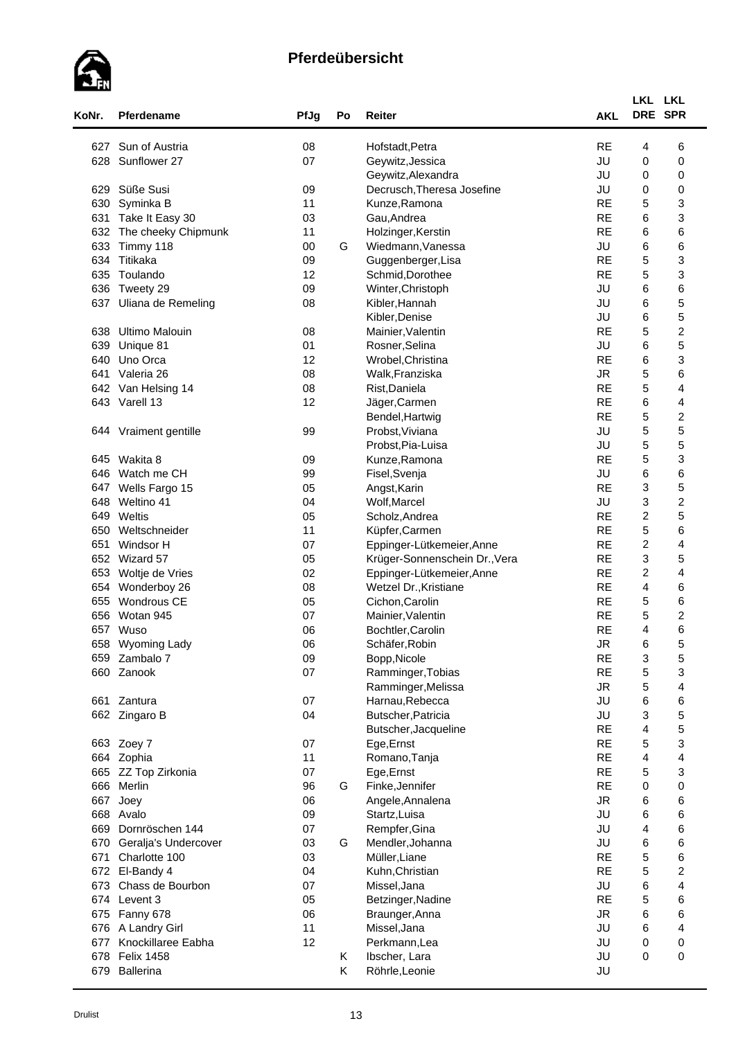

|            |                       |      |    |                               |                        | LKL LKL          |                         |
|------------|-----------------------|------|----|-------------------------------|------------------------|------------------|-------------------------|
| KoNr.      | Pferdename            | PfJg | Po | Reiter                        | <b>AKL</b>             | DRE SPR          |                         |
|            | 627 Sun of Austria    | 08   |    | Hofstadt, Petra               | <b>RE</b>              | 4                | 6                       |
| 628        | Sunflower 27          | 07   |    | Geywitz, Jessica              | JU                     | 0                | 0                       |
|            |                       |      |    | Geywitz, Alexandra            | JU                     | 0                | 0                       |
| 629        | Süße Susi             | 09   |    | Decrusch, Theresa Josefine    | JU                     | 0                | 0                       |
| 630        | Syminka B             | 11   |    | Kunze, Ramona                 | <b>RE</b>              | 5                | 3                       |
|            | 631 Take It Easy 30   | 03   |    | Gau, Andrea                   | <b>RE</b>              | 6                | 3                       |
| 632        | The cheeky Chipmunk   | 11   |    | Holzinger, Kerstin            | <b>RE</b>              | 6                | 6                       |
| 633        | Timmy 118             | 00   | G  | Wiedmann, Vanessa             | JU                     | 6                | 6                       |
| 634        | Titikaka              | 09   |    | Guggenberger, Lisa            | <b>RE</b>              | 5                | 3                       |
| 635        | Toulando              | 12   |    | Schmid, Dorothee              | <b>RE</b>              | $\mathbf 5$      | 3                       |
| 636        | Tweety 29             | 09   |    | Winter, Christoph             | JU                     | 6                | 6                       |
| 637        | Uliana de Remeling    | 08   |    | Kibler, Hannah                | JU                     | 6                | 5                       |
|            |                       |      |    | Kibler, Denise                | JU                     | 6                | 5                       |
| 638        | <b>Ultimo Malouin</b> | 08   |    | Mainier, Valentin             | <b>RE</b>              | 5                | $\boldsymbol{2}$        |
| 639        | Unique 81             | 01   |    | Rosner, Selina                | JU                     | 6                | 5                       |
| 640        | Uno Orca              | 12   |    | Wrobel, Christina             | <b>RE</b>              | 6                | 3                       |
| 641        | Valeria 26            | 08   |    | Walk, Franziska               | <b>JR</b>              | 5                | 6                       |
| 642        | Van Helsing 14        | 08   |    | Rist, Daniela                 | <b>RE</b>              | 5                | 4                       |
|            | 643 Varell 13         | 12   |    | Jäger, Carmen                 | <b>RE</b>              | 6                | 4                       |
|            |                       |      |    | Bendel, Hartwig               | <b>RE</b>              | 5                | $\overline{\mathbf{c}}$ |
| 644        | Vraiment gentille     | 99   |    | Probst, Viviana               | JU                     | 5                | 5                       |
|            |                       |      |    | Probst, Pia-Luisa             | JU                     | $\mathbf 5$      | 5                       |
| 645        | Wakita 8              | 09   |    | Kunze, Ramona                 | <b>RE</b>              | 5                | 3                       |
| 646        | Watch me CH           | 99   |    | Fisel, Svenja                 | JU                     | 6                | 6                       |
| 647        | Wells Fargo 15        | 05   |    |                               | <b>RE</b>              | 3                | 5                       |
| 648        | Weltino 41            | 04   |    | Angst, Karin<br>Wolf, Marcel  | JU                     | 3                | $\overline{\mathbf{c}}$ |
|            |                       |      |    |                               |                        | $\boldsymbol{2}$ | 5                       |
| 649<br>650 | Weltis                | 05   |    | Scholz, Andrea                | <b>RE</b>              |                  |                         |
|            | Weltschneider         | 11   |    | Küpfer, Carmen                | <b>RE</b><br><b>RE</b> | 5                | 6                       |
| 651        | Windsor H             | 07   |    | Eppinger-Lütkemeier, Anne     |                        | $\overline{c}$   | 4                       |
| 652        | Wizard 57             | 05   |    | Krüger-Sonnenschein Dr., Vera | <b>RE</b>              | 3                | 5                       |
| 653        | Woltje de Vries       | 02   |    | Eppinger-Lütkemeier, Anne     | <b>RE</b>              | $\boldsymbol{2}$ | $\overline{\mathbf{4}}$ |
| 654        | Wonderboy 26          | 08   |    | Wetzel Dr., Kristiane         | <b>RE</b>              | 4                | 6                       |
| 655        | Wondrous CE           | 05   |    | Cichon, Carolin               | <b>RE</b>              | 5                | 6                       |
| 656        | Wotan 945             | 07   |    | Mainier, Valentin             | <b>RE</b>              | 5                | $\boldsymbol{2}$        |
| 657        | Wuso                  | 06   |    | Bochtler, Carolin             | <b>RE</b>              | 4                | 6<br>д                  |
|            | 658 Wyoming Lady      | 06   |    | Schäfer, Robin                | JR                     | 6                | ◡                       |
|            | 659 Zambalo 7         | 09   |    | Bopp, Nicole                  | <b>RE</b>              | 3                | 5                       |
|            | 660 Zanook            | 07   |    | Ramminger, Tobias             | <b>RE</b>              | 5                | 3                       |
|            |                       |      |    | Ramminger, Melissa            | <b>JR</b>              | 5                | 4                       |
|            | 661 Zantura           | 07   |    | Harnau, Rebecca               | JU                     | 6                | 6                       |
|            | 662 Zingaro B         | 04   |    | Butscher, Patricia            | JU                     | 3                | 5                       |
|            |                       |      |    | Butscher, Jacqueline          | <b>RE</b>              | $\overline{4}$   | 5                       |
|            | 663 Zoey 7            | 07   |    | Ege, Ernst                    | <b>RE</b>              | 5                | 3                       |
|            | 664 Zophia            | 11   |    | Romano, Tanja                 | <b>RE</b>              | 4                | 4                       |
|            | 665 ZZ Top Zirkonia   | 07   |    | Ege, Ernst                    | <b>RE</b>              | 5                | 3                       |
|            | 666 Merlin            | 96   | G  | Finke, Jennifer               | <b>RE</b>              | 0                | $\pmb{0}$               |
| 667        | Joey                  | 06   |    | Angele, Annalena              | <b>JR</b>              | 6                | 6                       |
|            | 668 Avalo             | 09   |    | Startz, Luisa                 | JU                     | 6                | 6                       |
| 669        | Dornröschen 144       | 07   |    | Rempfer, Gina                 | JU                     | 4                | 6                       |
| 670        | Geralja's Undercover  | 03   | G  | Mendler, Johanna              | JU                     | 6                | 6                       |
| 671        | Charlotte 100         | 03   |    | Müller, Liane                 | <b>RE</b>              | 5                | 6                       |
|            | 672 El-Bandy 4        | 04   |    | Kuhn, Christian               | <b>RE</b>              | 5                | $\overline{\mathbf{c}}$ |
| 673        | Chass de Bourbon      | 07   |    | Missel, Jana                  | JU                     | 6                | 4                       |
|            | 674 Levent 3          | 05   |    | Betzinger, Nadine             | <b>RE</b>              | 5                | 6                       |
|            | 675 Fanny 678         | 06   |    | Braunger, Anna                | ${\sf JR}$             | 6                | 6                       |
|            | 676 A Landry Girl     | 11   |    | Missel, Jana                  | JU                     | 6                | 4                       |
| 677        | Knockillaree Eabha    | 12   |    | Perkmann, Lea                 | JU                     | 0                | 0                       |
|            | 678 Felix 1458        |      | Κ  | Ibscher, Lara                 | JU                     | 0                | $\mathbf 0$             |
|            |                       |      |    |                               |                        |                  |                         |